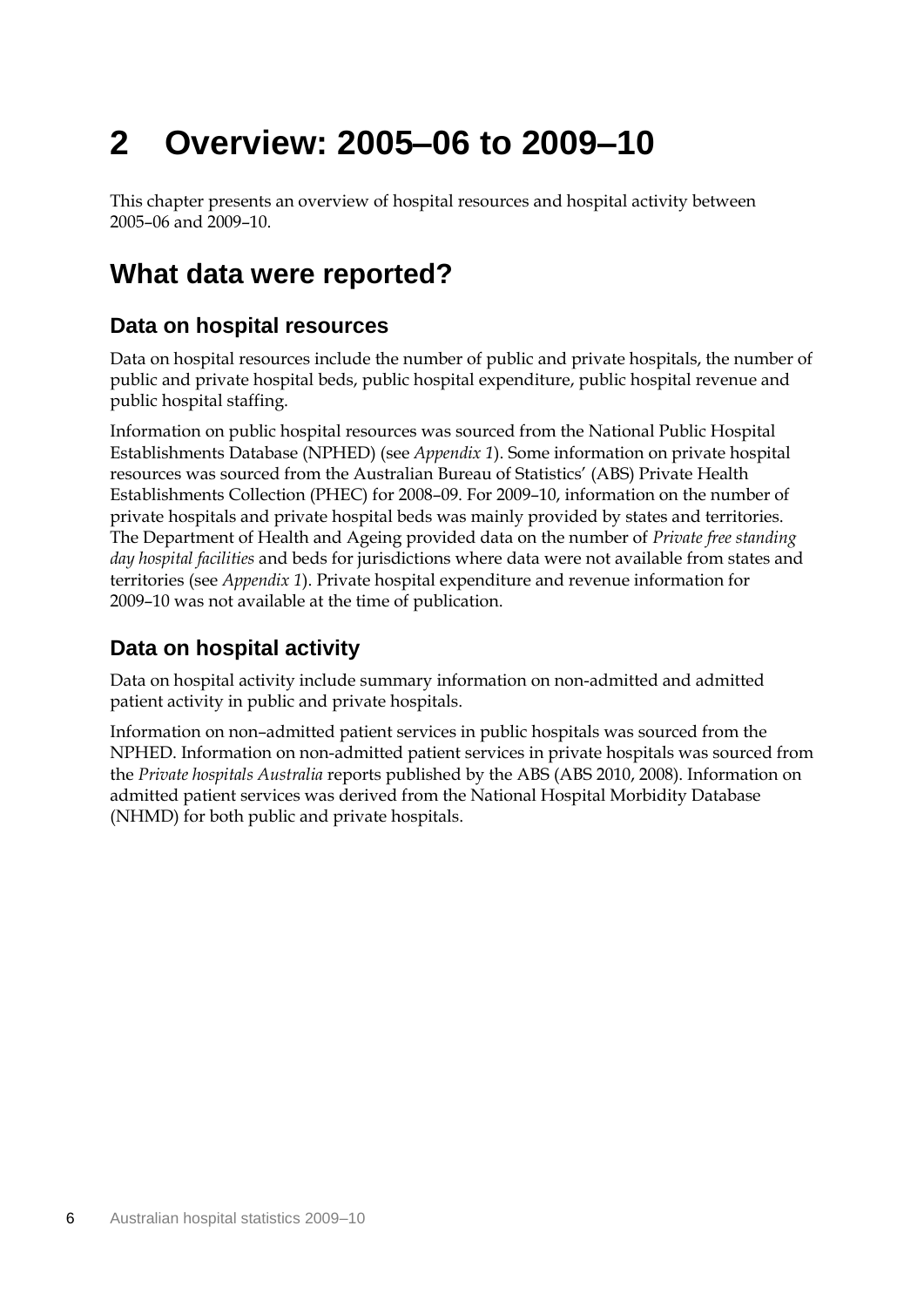# **2 Overview: 2005–06 to 2009–10**

This chapter presents an overview of hospital resources and hospital activity between 2005–06 and 2009–10.

## **What data were reported?**

### **Data on hospital resources**

Data on hospital resources include the number of public and private hospitals, the number of public and private hospital beds, public hospital expenditure, public hospital revenue and public hospital staffing.

Information on public hospital resources was sourced from the National Public Hospital Establishments Database (NPHED) (see *Appendix 1*). Some information on private hospital resources was sourced from the Australian Bureau of Statistics' (ABS) Private Health Establishments Collection (PHEC) for 2008–09. For 2009–10, information on the number of private hospitals and private hospital beds was mainly provided by states and territories. The Department of Health and Ageing provided data on the number of *Private free standing day hospital facilities* and beds for jurisdictions where data were not available from states and territories (see *Appendix 1*). Private hospital expenditure and revenue information for 2009–10 was not available at the time of publication.

### **Data on hospital activity**

Data on hospital activity include summary information on non-admitted and admitted patient activity in public and private hospitals.

Information on non–admitted patient services in public hospitals was sourced from the NPHED. Information on non-admitted patient services in private hospitals was sourced from the *Private hospitals Australia* reports published by the ABS (ABS 2010, 2008). Information on admitted patient services was derived from the National Hospital Morbidity Database (NHMD) for both public and private hospitals.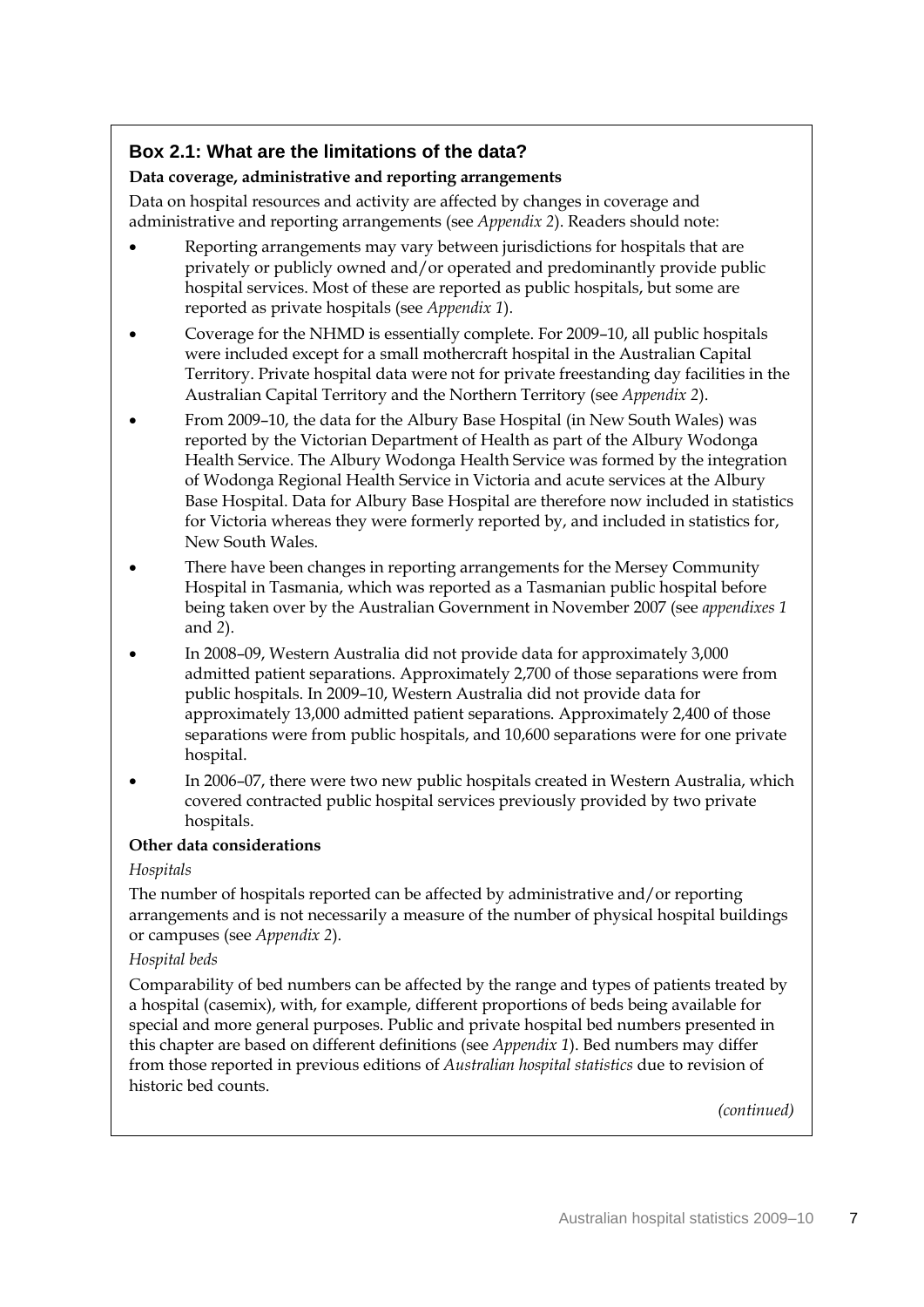### **Box 2.1: What are the limitations of the data?**

### **Data coverage, administrative and reporting arrangements**

Data on hospital resources and activity are affected by changes in coverage and administrative and reporting arrangements (see *Appendix 2*). Readers should note:

- Reporting arrangements may vary between jurisdictions for hospitals that are privately or publicly owned and/or operated and predominantly provide public hospital services. Most of these are reported as public hospitals, but some are reported as private hospitals (see *Appendix 1*).
- Coverage for the NHMD is essentially complete. For 2009–10, all public hospitals were included except for a small mothercraft hospital in the Australian Capital Territory. Private hospital data were not for private freestanding day facilities in the Australian Capital Territory and the Northern Territory (see *Appendix 2*).
- From 2009–10, the data for the Albury Base Hospital (in New South Wales) was reported by the Victorian Department of Health as part of the Albury Wodonga Health Service. The Albury Wodonga Health Service was formed by the integration of Wodonga Regional Health Service in Victoria and acute services at the Albury Base Hospital. Data for Albury Base Hospital are therefore now included in statistics for Victoria whereas they were formerly reported by, and included in statistics for, New South Wales.
- There have been changes in reporting arrangements for the Mersey Community Hospital in Tasmania, which was reported as a Tasmanian public hospital before being taken over by the Australian Government in November 2007 (see *appendixes 1* and *2*).
- In 2008–09, Western Australia did not provide data for approximately 3,000 admitted patient separations. Approximately 2,700 of those separations were from public hospitals. In 2009–10, Western Australia did not provide data for approximately 13,000 admitted patient separations. Approximately 2,400 of those separations were from public hospitals, and 10,600 separations were for one private hospital.
- In 2006–07, there were two new public hospitals created in Western Australia, which covered contracted public hospital services previously provided by two private hospitals.

### **Other data considerations**

### *Hospitals*

The number of hospitals reported can be affected by administrative and/or reporting arrangements and is not necessarily a measure of the number of physical hospital buildings or campuses (see *Appendix 2*).

### *Hospital beds*

Comparability of bed numbers can be affected by the range and types of patients treated by a hospital (casemix), with, for example, different proportions of beds being available for special and more general purposes. Public and private hospital bed numbers presented in this chapter are based on different definitions (see *Appendix 1*). Bed numbers may differ from those reported in previous editions of *Australian hospital statistics* due to revision of historic bed counts.

*(continued)*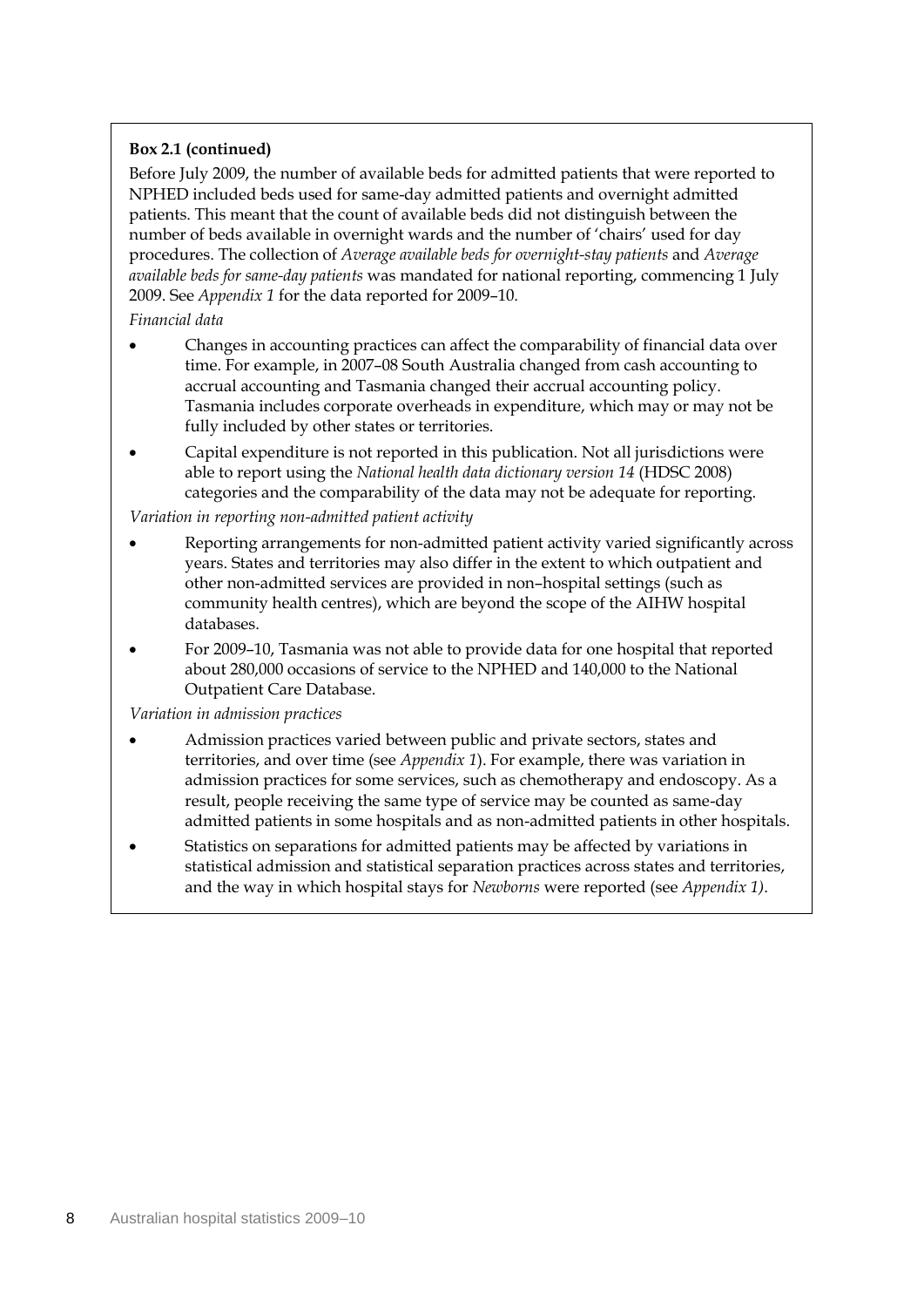### **Box 2.1 (continued)**

Before July 2009, the number of available beds for admitted patients that were reported to NPHED included beds used for same-day admitted patients and overnight admitted patients. This meant that the count of available beds did not distinguish between the number of beds available in overnight wards and the number of 'chairs' used for day procedures. The collection of *Average available beds for overnight-stay patients* and *Average available beds for same-day patients* was mandated for national reporting, commencing 1 July 2009. See *Appendix 1* for the data reported for 2009–10.

#### *Financial data*

- Changes in accounting practices can affect the comparability of financial data over time. For example, in 2007–08 South Australia changed from cash accounting to accrual accounting and Tasmania changed their accrual accounting policy. Tasmania includes corporate overheads in expenditure, which may or may not be fully included by other states or territories.
- Capital expenditure is not reported in this publication. Not all jurisdictions were able to report using the *National health data dictionary version 14* (HDSC 2008) categories and the comparability of the data may not be adequate for reporting.

#### *Variation in reporting non-admitted patient activity*

- Reporting arrangements for non-admitted patient activity varied significantly across years. States and territories may also differ in the extent to which outpatient and other non-admitted services are provided in non–hospital settings (such as community health centres), which are beyond the scope of the AIHW hospital databases.
- For 2009–10, Tasmania was not able to provide data for one hospital that reported about 280,000 occasions of service to the NPHED and 140,000 to the National Outpatient Care Database.

#### *Variation in admission practices*

- Admission practices varied between public and private sectors, states and territories, and over time (see *Appendix 1*). For example, there was variation in admission practices for some services, such as chemotherapy and endoscopy. As a result, people receiving the same type of service may be counted as same-day admitted patients in some hospitals and as non-admitted patients in other hospitals.
- Statistics on separations for admitted patients may be affected by variations in statistical admission and statistical separation practices across states and territories, and the way in which hospital stays for *Newborns* were reported (see *Appendix 1)*.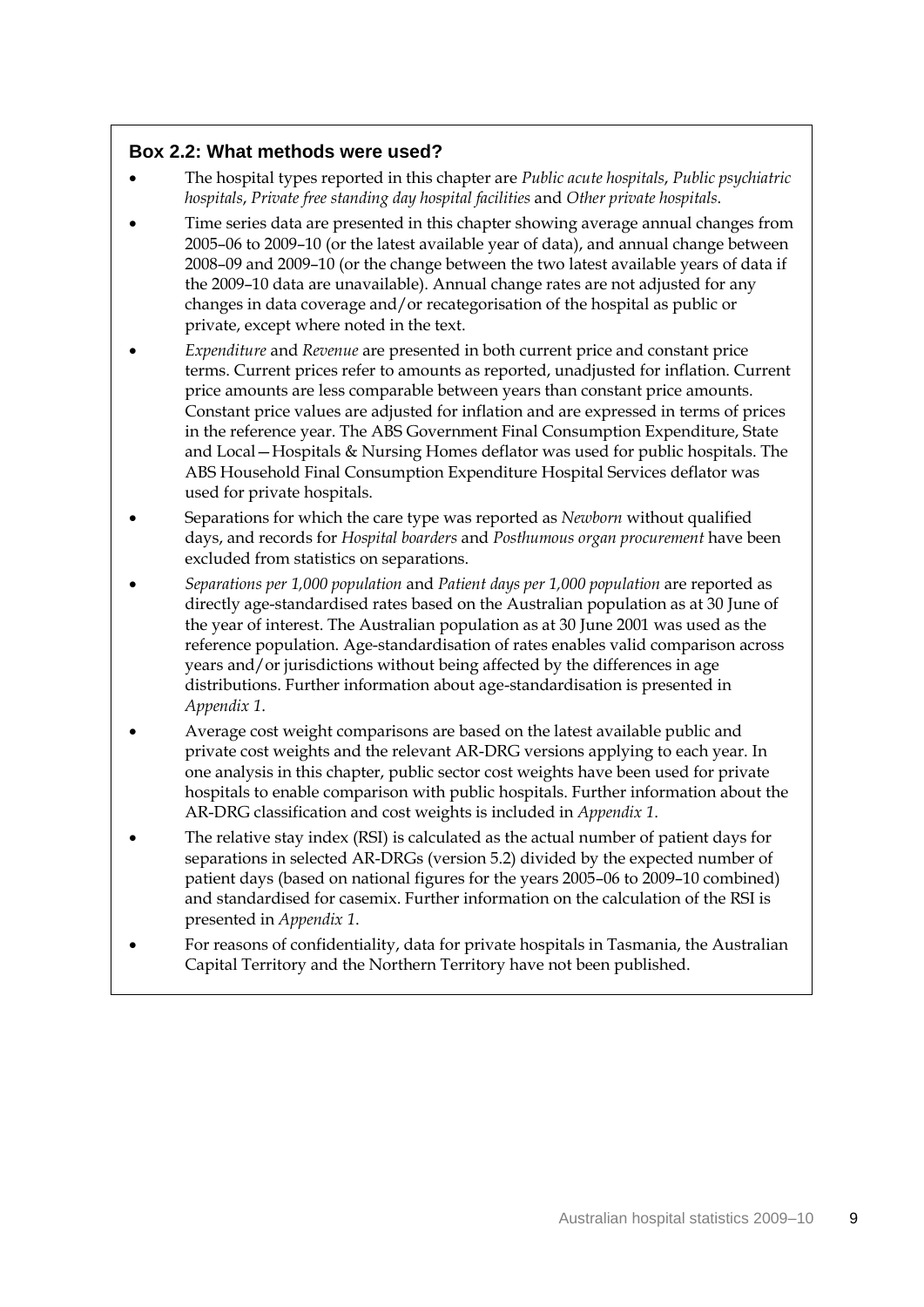### **Box 2.2: What methods were used?**

- The hospital types reported in this chapter are *Public acute hospitals*, *Public psychiatric hospitals*, *Private free standing day hospital facilities* and *Other private hospitals*.
- Time series data are presented in this chapter showing average annual changes from 2005–06 to 2009–10 (or the latest available year of data), and annual change between 2008–09 and 2009–10 (or the change between the two latest available years of data if the 2009–10 data are unavailable). Annual change rates are not adjusted for any changes in data coverage and/or recategorisation of the hospital as public or private, except where noted in the text.
- *Expenditure* and *Revenue* are presented in both current price and constant price terms. Current prices refer to amounts as reported, unadjusted for inflation. Current price amounts are less comparable between years than constant price amounts. Constant price values are adjusted for inflation and are expressed in terms of prices in the reference year. The ABS Government Final Consumption Expenditure, State and Local—Hospitals & Nursing Homes deflator was used for public hospitals. The ABS Household Final Consumption Expenditure Hospital Services deflator was used for private hospitals.
- Separations for which the care type was reported as *Newborn* without qualified days, and records for *Hospital boarders* and *Posthumous organ procurement* have been excluded from statistics on separations.
- *Separations per 1,000 population* and *Patient days per 1,000 population* are reported as directly age-standardised rates based on the Australian population as at 30 June of the year of interest. The Australian population as at 30 June 2001 was used as the reference population. Age-standardisation of rates enables valid comparison across years and/or jurisdictions without being affected by the differences in age distributions. Further information about age-standardisation is presented in *Appendix 1*.
- Average cost weight comparisons are based on the latest available public and private cost weights and the relevant AR-DRG versions applying to each year. In one analysis in this chapter, public sector cost weights have been used for private hospitals to enable comparison with public hospitals. Further information about the AR-DRG classification and cost weights is included in *Appendix 1*.
- The relative stay index (RSI) is calculated as the actual number of patient days for separations in selected AR-DRGs (version 5.2) divided by the expected number of patient days (based on national figures for the years 2005–06 to 2009–10 combined) and standardised for casemix. Further information on the calculation of the RSI is presented in *Appendix 1*.
- For reasons of confidentiality, data for private hospitals in Tasmania, the Australian Capital Territory and the Northern Territory have not been published.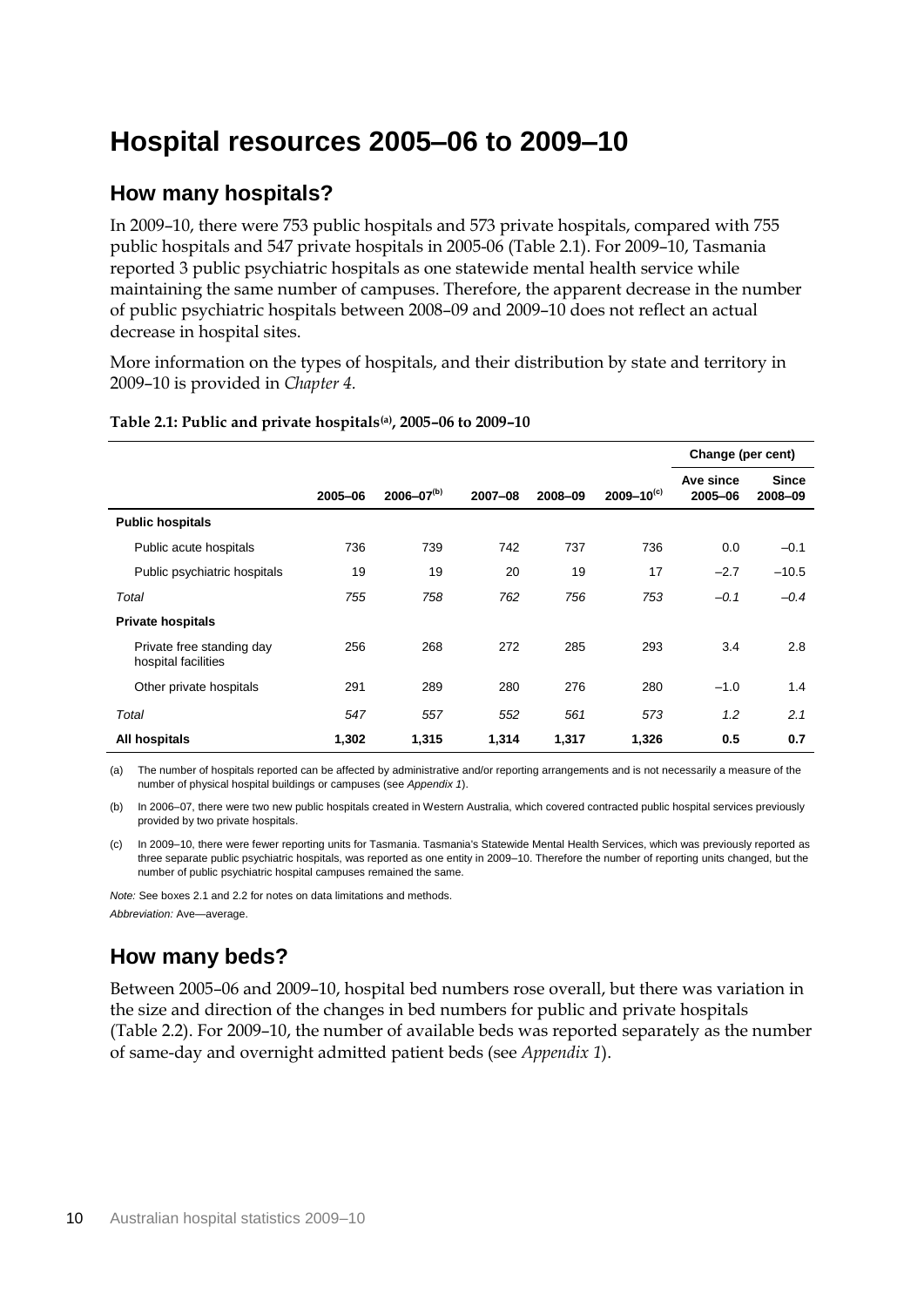## **Hospital resources 2005–06 to 2009–10**

### **How many hospitals?**

In 2009–10, there were 753 public hospitals and 573 private hospitals, compared with 755 public hospitals and 547 private hospitals in 2005-06 (Table 2.1). For 2009–10, Tasmania reported 3 public psychiatric hospitals as one statewide mental health service while maintaining the same number of campuses. Therefore, the apparent decrease in the number of public psychiatric hospitals between 2008–09 and 2009–10 does not reflect an actual decrease in hospital sites.

More information on the types of hospitals, and their distribution by state and territory in 2009–10 is provided in *Chapter 4.*

|                                                  |         |                   |         |         |                   | Change (per cent)    |                         |
|--------------------------------------------------|---------|-------------------|---------|---------|-------------------|----------------------|-------------------------|
|                                                  | 2005-06 | $2006 - 07^{(b)}$ | 2007-08 | 2008-09 | $2009 - 10^{(c)}$ | Ave since<br>2005-06 | <b>Since</b><br>2008-09 |
| <b>Public hospitals</b>                          |         |                   |         |         |                   |                      |                         |
| Public acute hospitals                           | 736     | 739               | 742     | 737     | 736               | 0.0                  | $-0.1$                  |
| Public psychiatric hospitals                     | 19      | 19                | 20      | 19      | 17                | $-2.7$               | $-10.5$                 |
| Total                                            | 755     | 758               | 762     | 756     | 753               | $-0.1$               | $-0.4$                  |
| <b>Private hospitals</b>                         |         |                   |         |         |                   |                      |                         |
| Private free standing day<br>hospital facilities | 256     | 268               | 272     | 285     | 293               | 3.4                  | 2.8                     |
| Other private hospitals                          | 291     | 289               | 280     | 276     | 280               | $-1.0$               | 1.4                     |
| Total                                            | 547     | 557               | 552     | 561     | 573               | 1.2                  | 2.1                     |
| All hospitals                                    | 1,302   | 1,315             | 1,314   | 1,317   | 1,326             | 0.5                  | 0.7                     |

#### **Table 2.1: Public and private hospitals(a), 2005–06 to 2009–10**

(a) The number of hospitals reported can be affected by administrative and/or reporting arrangements and is not necessarily a measure of the number of physical hospital buildings or campuses (see *Appendix 1*).

(b) In 2006–07, there were two new public hospitals created in Western Australia, which covered contracted public hospital services previously provided by two private hospitals.

(c) In 2009–10, there were fewer reporting units for Tasmania. Tasmania's Statewide Mental Health Services, which was previously reported as three separate public psychiatric hospitals, was reported as one entity in 2009–10. Therefore the number of reporting units changed, but the number of public psychiatric hospital campuses remained the same.

*Note:* See boxes 2.1 and 2.2 for notes on data limitations and methods. *Abbreviation:* Ave—average.

### **How many beds?**

Between 2005–06 and 2009–10, hospital bed numbers rose overall, but there was variation in the size and direction of the changes in bed numbers for public and private hospitals (Table 2.2). For 2009–10, the number of available beds was reported separately as the number of same-day and overnight admitted patient beds (see *Appendix 1*).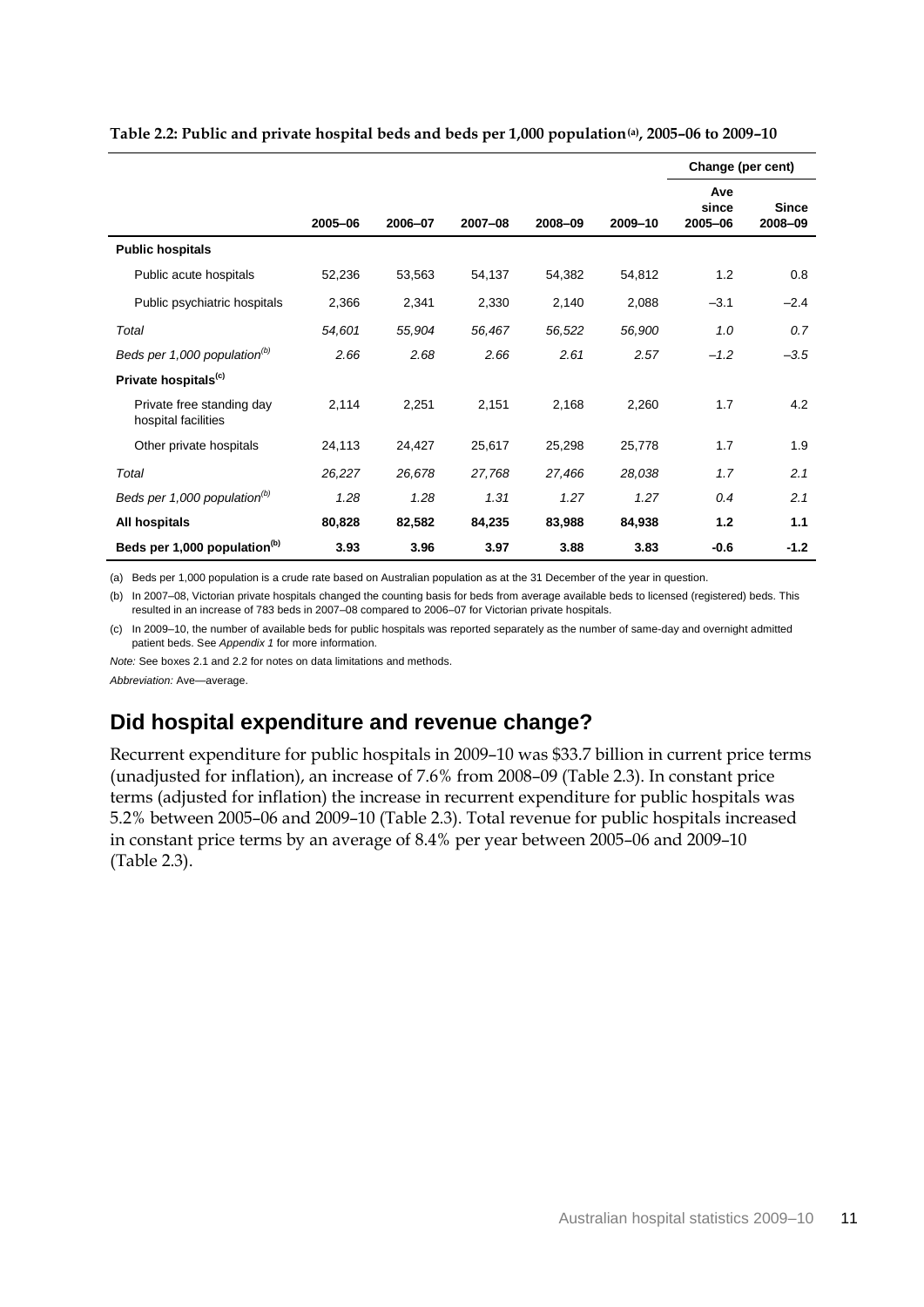|                                                  |         |         |         |         |         | Change (per cent)       |                         |
|--------------------------------------------------|---------|---------|---------|---------|---------|-------------------------|-------------------------|
|                                                  | 2005-06 | 2006-07 | 2007-08 | 2008-09 | 2009-10 | Ave<br>since<br>2005-06 | <b>Since</b><br>2008-09 |
| <b>Public hospitals</b>                          |         |         |         |         |         |                         |                         |
| Public acute hospitals                           | 52,236  | 53,563  | 54,137  | 54,382  | 54,812  | 1.2                     | 0.8                     |
| Public psychiatric hospitals                     | 2,366   | 2,341   | 2,330   | 2,140   | 2,088   | $-3.1$                  | $-2.4$                  |
| Total                                            | 54,601  | 55,904  | 56,467  | 56,522  | 56,900  | 1.0                     | 0.7                     |
| Beds per 1,000 population <sup>(b)</sup>         | 2.66    | 2.68    | 2.66    | 2.61    | 2.57    | $-1.2$                  | $-3.5$                  |
| Private hospitals <sup>(c)</sup>                 |         |         |         |         |         |                         |                         |
| Private free standing day<br>hospital facilities | 2,114   | 2,251   | 2,151   | 2,168   | 2,260   | 1.7                     | 4.2                     |
| Other private hospitals                          | 24,113  | 24,427  | 25,617  | 25,298  | 25,778  | 1.7                     | 1.9                     |
| Total                                            | 26,227  | 26,678  | 27,768  | 27,466  | 28,038  | 1.7                     | 2.1                     |
| Beds per 1,000 population $^{(b)}$               | 1.28    | 1.28    | 1.31    | 1.27    | 1.27    | 0.4                     | 2.1                     |
| All hospitals                                    | 80,828  | 82,582  | 84,235  | 83,988  | 84,938  | 1.2                     | 1.1                     |
| Beds per 1,000 population <sup>(b)</sup>         | 3.93    | 3.96    | 3.97    | 3.88    | 3.83    | $-0.6$                  | -1.2                    |

**Table 2.2: Public and private hospital beds and beds per 1,000 population(a), 2005–06 to 2009–10**

(a) Beds per 1,000 population is a crude rate based on Australian population as at the 31 December of the year in question.

(b) In 2007–08, Victorian private hospitals changed the counting basis for beds from average available beds to licensed (registered) beds. This resulted in an increase of 783 beds in 2007–08 compared to 2006–07 for Victorian private hospitals.

(c) In 2009–10, the number of available beds for public hospitals was reported separately as the number of same-day and overnight admitted patient beds. See *Appendix 1* for more information.

*Note:* See boxes 2.1 and 2.2 for notes on data limitations and methods.

*Abbreviation:* Ave—average.

### **Did hospital expenditure and revenue change?**

Recurrent expenditure for public hospitals in 2009–10 was \$33.7 billion in current price terms (unadjusted for inflation), an increase of 7.6% from 2008–09 (Table 2.3). In constant price terms (adjusted for inflation) the increase in recurrent expenditure for public hospitals was 5.2% between 2005–06 and 2009–10 (Table 2.3). Total revenue for public hospitals increased in constant price terms by an average of 8.4% per year between 2005–06 and 2009–10 (Table 2.3).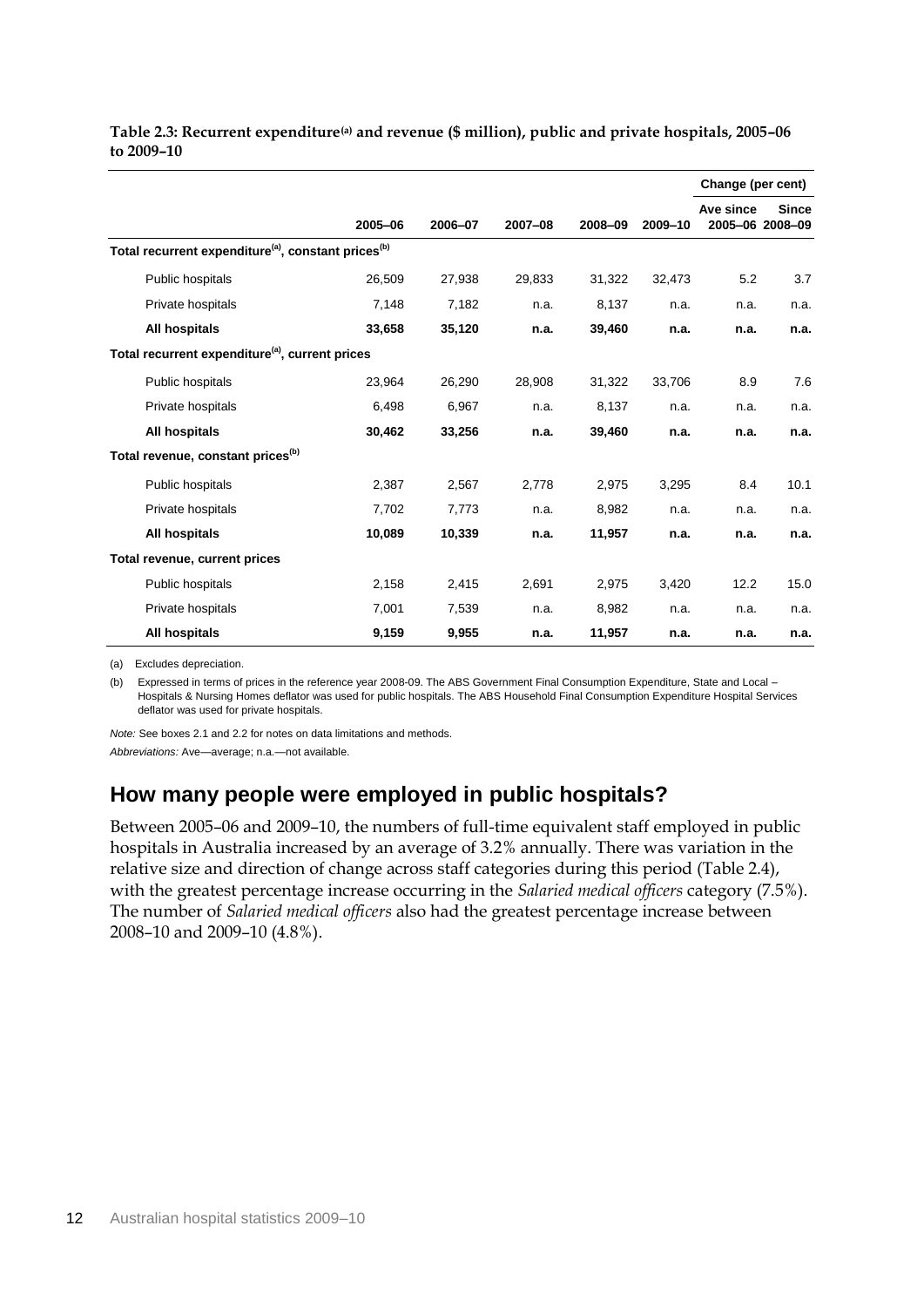|                                                                             |         |         |         |         |         | Change (per cent) |                                 |
|-----------------------------------------------------------------------------|---------|---------|---------|---------|---------|-------------------|---------------------------------|
|                                                                             | 2005-06 | 2006-07 | 2007-08 | 2008-09 | 2009-10 | Ave since         | <b>Since</b><br>2005-06 2008-09 |
| Total recurrent expenditure <sup>(a)</sup> , constant prices <sup>(b)</sup> |         |         |         |         |         |                   |                                 |
| Public hospitals                                                            | 26,509  | 27,938  | 29,833  | 31,322  | 32,473  | 5.2               | 3.7                             |
| Private hospitals                                                           | 7,148   | 7,182   | n.a.    | 8,137   | n.a.    | n.a.              | n.a.                            |
| All hospitals                                                               | 33,658  | 35,120  | n.a.    | 39,460  | n.a.    | n.a.              | n.a.                            |
| Total recurrent expenditure <sup>(a)</sup> , current prices                 |         |         |         |         |         |                   |                                 |
| Public hospitals                                                            | 23,964  | 26,290  | 28,908  | 31,322  | 33,706  | 8.9               | 7.6                             |
| Private hospitals                                                           | 6,498   | 6,967   | n.a.    | 8,137   | n.a.    | n.a.              | n.a.                            |
| All hospitals                                                               | 30,462  | 33,256  | n.a.    | 39,460  | n.a.    | n.a.              | n.a.                            |
| Total revenue, constant prices <sup>(b)</sup>                               |         |         |         |         |         |                   |                                 |
| Public hospitals                                                            | 2,387   | 2,567   | 2,778   | 2,975   | 3,295   | 8.4               | 10.1                            |
| Private hospitals                                                           | 7,702   | 7,773   | n.a.    | 8,982   | n.a.    | n.a.              | n.a.                            |
| All hospitals                                                               | 10,089  | 10,339  | n.a.    | 11,957  | n.a.    | n.a.              | n.a.                            |
| Total revenue, current prices                                               |         |         |         |         |         |                   |                                 |
| Public hospitals                                                            | 2,158   | 2,415   | 2,691   | 2,975   | 3,420   | 12.2              | 15.0                            |
| Private hospitals                                                           | 7,001   | 7,539   | n.a.    | 8,982   | n.a.    | n.a.              | n.a.                            |
| All hospitals                                                               | 9,159   | 9,955   | n.a.    | 11,957  | n.a.    | n.a.              | n.a.                            |

**Table 2.3: Recurrent expenditure(a) and revenue (\$ million), public and private hospitals, 2005–06 to 2009–10**

(a) Excludes depreciation.

(b) Expressed in terms of prices in the reference year 2008-09. The ABS Government Final Consumption Expenditure, State and Local – Hospitals & Nursing Homes deflator was used for public hospitals. The ABS Household Final Consumption Expenditure Hospital Services deflator was used for private hospitals.

*Note:* See boxes 2.1 and 2.2 for notes on data limitations and methods. *Abbreviations:* Ave—average; n.a.—not available.

### **How many people were employed in public hospitals?**

Between 2005–06 and 2009–10, the numbers of full-time equivalent staff employed in public hospitals in Australia increased by an average of 3.2% annually. There was variation in the relative size and direction of change across staff categories during this period (Table 2.4), with the greatest percentage increase occurring in the *Salaried medical officers* category (7.5%). The number of *Salaried medical officers* also had the greatest percentage increase between 2008–10 and 2009–10 (4.8%).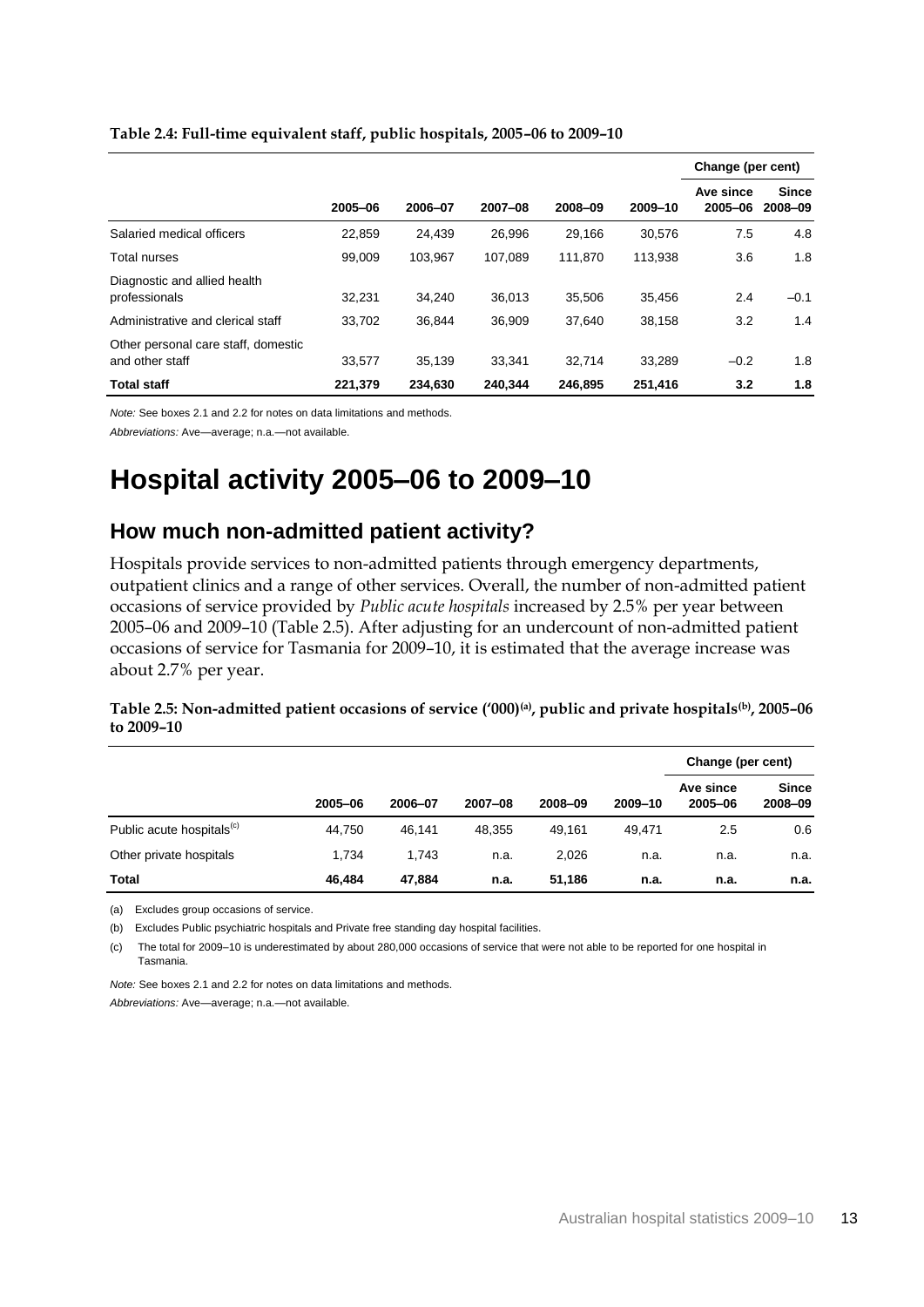|                                                        |         |         |         |         |         | Change (per cent)    |                         |  |
|--------------------------------------------------------|---------|---------|---------|---------|---------|----------------------|-------------------------|--|
|                                                        | 2005-06 | 2006-07 | 2007-08 | 2008-09 | 2009-10 | Ave since<br>2005-06 | <b>Since</b><br>2008-09 |  |
| Salaried medical officers                              | 22.859  | 24.439  | 26.996  | 29.166  | 30.576  | 7.5                  | 4.8                     |  |
| Total nurses                                           | 99.009  | 103.967 | 107.089 | 111.870 | 113.938 | 3.6                  | 1.8                     |  |
| Diagnostic and allied health<br>professionals          | 32,231  | 34.240  | 36.013  | 35.506  | 35.456  | 2.4                  | $-0.1$                  |  |
| Administrative and clerical staff                      | 33.702  | 36.844  | 36.909  | 37.640  | 38.158  | 3.2                  | 1.4                     |  |
| Other personal care staff, domestic<br>and other staff | 33.577  | 35.139  | 33.341  | 32.714  | 33.289  | $-0.2$               | 1.8                     |  |
| <b>Total staff</b>                                     | 221.379 | 234.630 | 240.344 | 246.895 | 251.416 | 3.2                  | 1.8                     |  |

#### **Table 2.4: Full-time equivalent staff, public hospitals, 2005–06 to 2009–10**

*Note:* See boxes 2.1 and 2.2 for notes on data limitations and methods.

*Abbreviations:* Ave—average; n.a.—not available.

## **Hospital activity 2005–06 to 2009–10**

### **How much non-admitted patient activity?**

Hospitals provide services to non-admitted patients through emergency departments, outpatient clinics and a range of other services. Overall, the number of non-admitted patient occasions of service provided by *Public acute hospitals* increased by 2.5% per year between 2005–06 and 2009–10 (Table 2.5). After adjusting for an undercount of non-admitted patient occasions of service for Tasmania for 2009–10, it is estimated that the average increase was about 2.7% per year.

#### **Table 2.5: Non-admitted patient occasions of service ('000)(a), public and private hospitals(b), 2005–06 to 2009–10**

|                                       |         |         |         |         |         | Change (per cent)    |                         |
|---------------------------------------|---------|---------|---------|---------|---------|----------------------|-------------------------|
|                                       | 2005-06 | 2006-07 | 2007-08 | 2008-09 | 2009-10 | Ave since<br>2005-06 | <b>Since</b><br>2008-09 |
| Public acute hospitals <sup>(c)</sup> | 44.750  | 46.141  | 48.355  | 49.161  | 49.471  | 2.5                  | 0.6                     |
| Other private hospitals               | 1.734   | 1.743   | n.a.    | 2,026   | n.a.    | n.a.                 | n.a.                    |
| Total                                 | 46.484  | 47.884  | n.a.    | 51.186  | n.a.    | n.a.                 | n.a.                    |

(a) Excludes group occasions of service.

(b) Excludes Public psychiatric hospitals and Private free standing day hospital facilities.

(c) The total for 2009–10 is underestimated by about 280,000 occasions of service that were not able to be reported for one hospital in Tasmania.

*Note:* See boxes 2.1 and 2.2 for notes on data limitations and methods.

*Abbreviations:* Ave—average; n.a.—not available.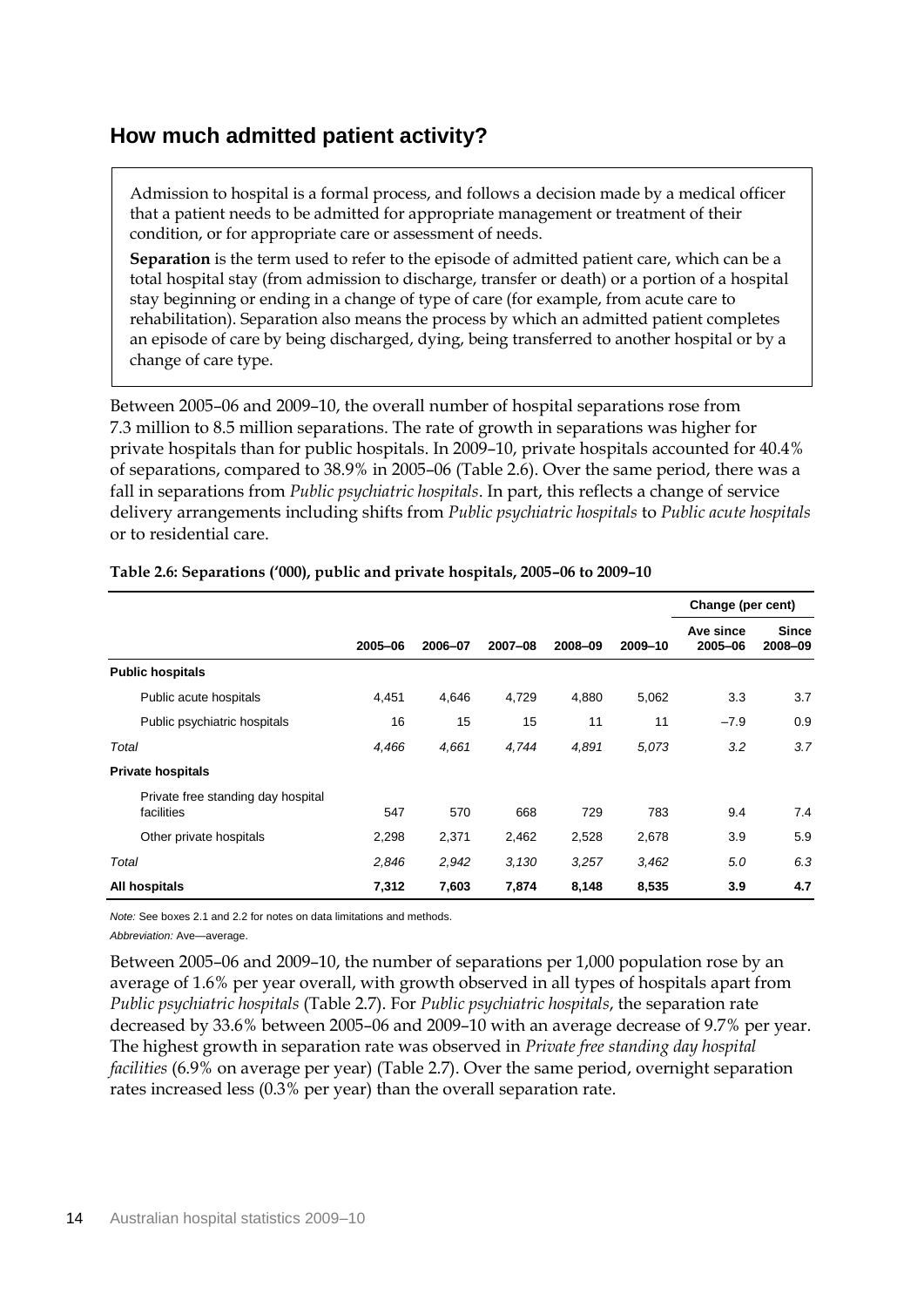### **How much admitted patient activity?**

Admission to hospital is a formal process, and follows a decision made by a medical officer that a patient needs to be admitted for appropriate management or treatment of their condition, or for appropriate care or assessment of needs.

**Separation** is the term used to refer to the episode of admitted patient care, which can be a total hospital stay (from admission to discharge, transfer or death) or a portion of a hospital stay beginning or ending in a change of type of care (for example, from acute care to rehabilitation). Separation also means the process by which an admitted patient completes an episode of care by being discharged, dying, being transferred to another hospital or by a change of care type.

Between 2005–06 and 2009–10, the overall number of hospital separations rose from 7.3 million to 8.5 million separations. The rate of growth in separations was higher for private hospitals than for public hospitals. In 2009–10, private hospitals accounted for 40.4% of separations, compared to 38.9% in 2005–06 (Table 2.6). Over the same period, there was a fall in separations from *Public psychiatric hospitals*. In part, this reflects a change of service delivery arrangements including shifts from *Public psychiatric hospitals* to *Public acute hospitals* or to residential care.

|                                                  |         |         |         |         |         | Change (per cent)    |                         |
|--------------------------------------------------|---------|---------|---------|---------|---------|----------------------|-------------------------|
|                                                  | 2005-06 | 2006-07 | 2007-08 | 2008-09 | 2009-10 | Ave since<br>2005-06 | <b>Since</b><br>2008-09 |
| <b>Public hospitals</b>                          |         |         |         |         |         |                      |                         |
| Public acute hospitals                           | 4,451   | 4,646   | 4,729   | 4,880   | 5,062   | 3.3                  | 3.7                     |
| Public psychiatric hospitals                     | 16      | 15      | 15      | 11      | 11      | $-7.9$               | 0.9                     |
| Total                                            | 4,466   | 4,661   | 4,744   | 4,891   | 5,073   | 3.2                  | 3.7                     |
| <b>Private hospitals</b>                         |         |         |         |         |         |                      |                         |
| Private free standing day hospital<br>facilities | 547     | 570     | 668     | 729     | 783     | 9.4                  | 7.4                     |
| Other private hospitals                          | 2,298   | 2,371   | 2,462   | 2,528   | 2,678   | 3.9                  | 5.9                     |
| Total                                            | 2,846   | 2,942   | 3,130   | 3,257   | 3,462   | 5.0                  | 6.3                     |
| All hospitals                                    | 7,312   | 7,603   | 7,874   | 8,148   | 8,535   | 3.9                  | 4.7                     |

### **Table 2.6: Separations ('000), public and private hospitals, 2005–06 to 2009–10**

*Note:* See boxes 2.1 and 2.2 for notes on data limitations and methods. *Abbreviation:* Ave—average.

Between 2005–06 and 2009–10, the number of separations per 1,000 population rose by an average of 1.6% per year overall, with growth observed in all types of hospitals apart from *Public psychiatric hospitals* (Table 2.7). For *Public psychiatric hospitals*, the separation rate decreased by 33.6% between 2005–06 and 2009–10 with an average decrease of 9.7% per year. The highest growth in separation rate was observed in *Private free standing day hospital facilities* (6.9% on average per year) (Table 2.7). Over the same period, overnight separation rates increased less (0.3% per year) than the overall separation rate.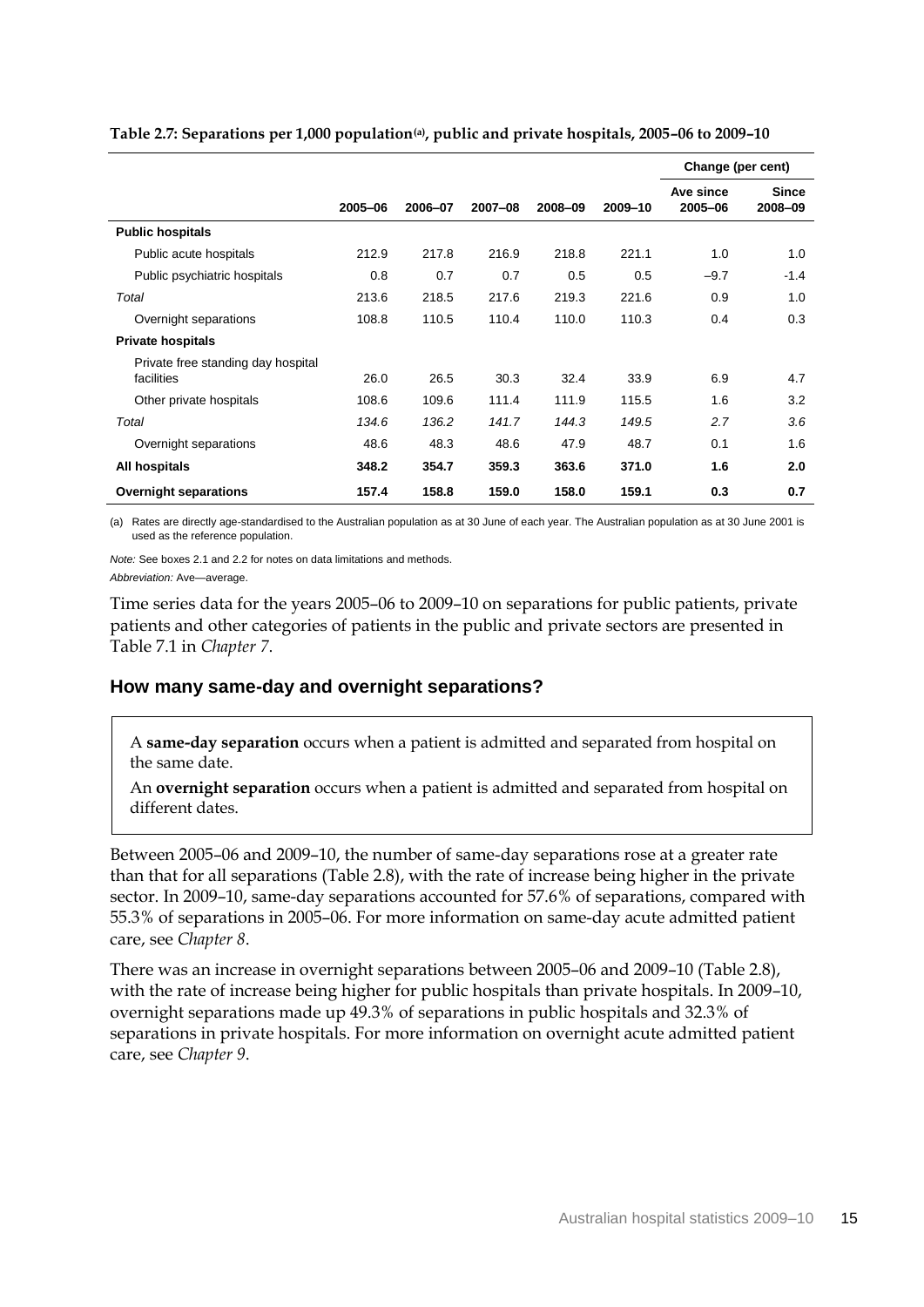|                                                  |         |         |         |         |         | Change (per cent)    |                         |
|--------------------------------------------------|---------|---------|---------|---------|---------|----------------------|-------------------------|
|                                                  | 2005-06 | 2006-07 | 2007-08 | 2008-09 | 2009-10 | Ave since<br>2005-06 | <b>Since</b><br>2008-09 |
| <b>Public hospitals</b>                          |         |         |         |         |         |                      |                         |
| Public acute hospitals                           | 212.9   | 217.8   | 216.9   | 218.8   | 221.1   | 1.0                  | 1.0                     |
| Public psychiatric hospitals                     | 0.8     | 0.7     | 0.7     | 0.5     | 0.5     | $-9.7$               | $-1.4$                  |
| Total                                            | 213.6   | 218.5   | 217.6   | 219.3   | 221.6   | 0.9                  | 1.0                     |
| Overnight separations                            | 108.8   | 110.5   | 110.4   | 110.0   | 110.3   | 0.4                  | 0.3                     |
| <b>Private hospitals</b>                         |         |         |         |         |         |                      |                         |
| Private free standing day hospital<br>facilities | 26.0    | 26.5    | 30.3    | 32.4    | 33.9    | 6.9                  | 4.7                     |
| Other private hospitals                          | 108.6   | 109.6   | 111.4   | 111.9   | 115.5   | 1.6                  | 3.2                     |
| Total                                            | 134.6   | 136.2   | 141.7   | 144.3   | 149.5   | 2.7                  | 3.6                     |
| Overnight separations                            | 48.6    | 48.3    | 48.6    | 47.9    | 48.7    | 0.1                  | 1.6                     |
| All hospitals                                    | 348.2   | 354.7   | 359.3   | 363.6   | 371.0   | 1.6                  | 2.0                     |
| <b>Overnight separations</b>                     | 157.4   | 158.8   | 159.0   | 158.0   | 159.1   | 0.3                  | 0.7                     |

**Table 2.7: Separations per 1,000 population(a), public and private hospitals, 2005–06 to 2009–10**

(a) Rates are directly age-standardised to the Australian population as at 30 June of each year. The Australian population as at 30 June 2001 is used as the reference population.

*Note:* See boxes 2.1 and 2.2 for notes on data limitations and methods. *Abbreviation:* Ave—average.

Time series data for the years 2005–06 to 2009–10 on separations for public patients, private patients and other categories of patients in the public and private sectors are presented in Table 7.1 in *Chapter 7*.

### **How many same-day and overnight separations?**

A **same-day separation** occurs when a patient is admitted and separated from hospital on the same date.

An **overnight separation** occurs when a patient is admitted and separated from hospital on different dates.

Between 2005–06 and 2009–10, the number of same-day separations rose at a greater rate than that for all separations (Table 2.8), with the rate of increase being higher in the private sector. In 2009–10, same-day separations accounted for 57.6% of separations, compared with 55.3% of separations in 2005–06. For more information on same-day acute admitted patient care, see *Chapter 8*.

There was an increase in overnight separations between 2005–06 and 2009–10 (Table 2.8), with the rate of increase being higher for public hospitals than private hospitals. In 2009–10, overnight separations made up 49.3% of separations in public hospitals and 32.3% of separations in private hospitals. For more information on overnight acute admitted patient care, see *Chapter 9*.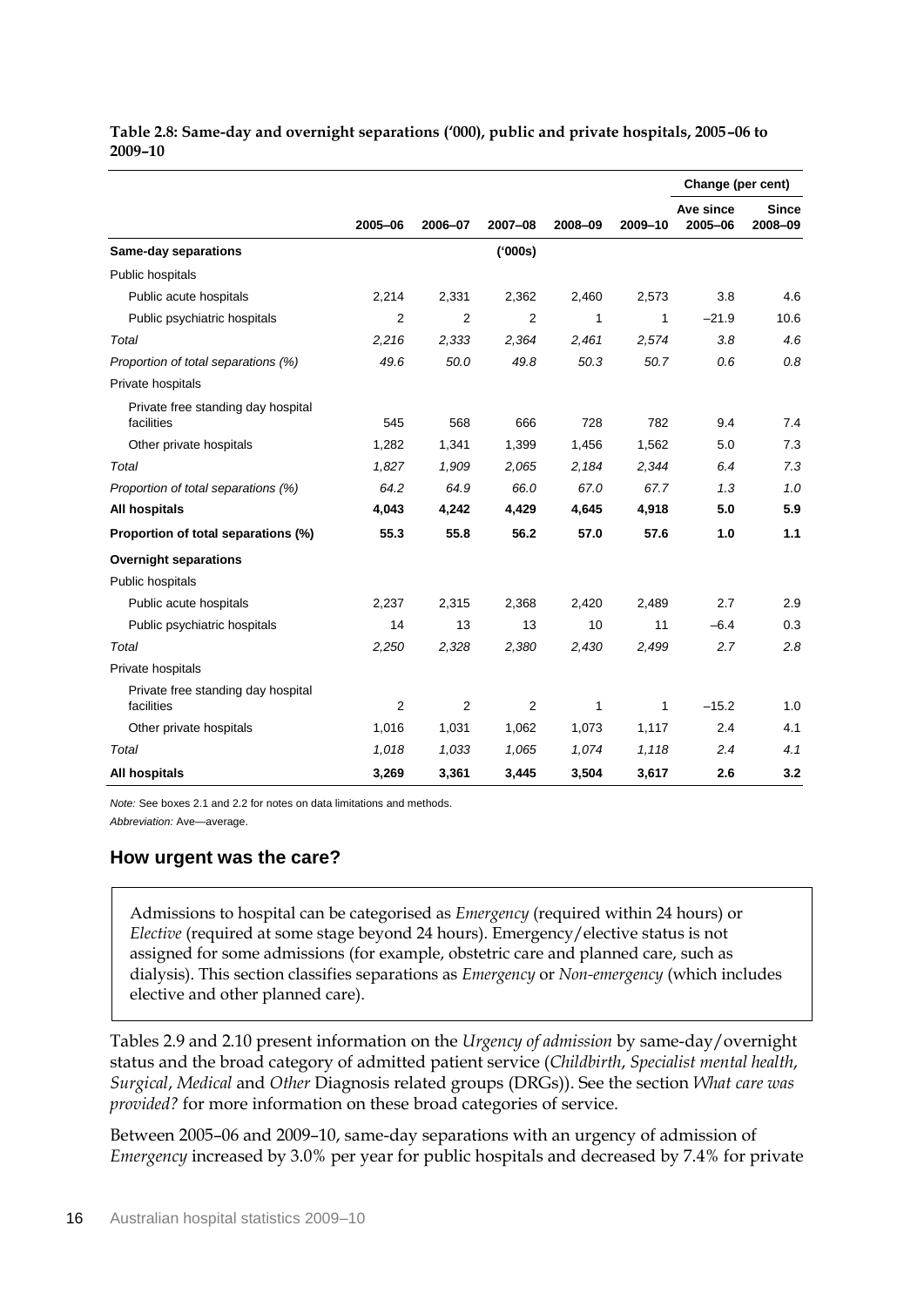| Table 2.8: Same-day and overnight separations ('000), public and private hospitals, 2005–06 to |  |
|------------------------------------------------------------------------------------------------|--|
| <b>2009–10</b>                                                                                 |  |

|                                                  |                |                |         |         |              | Change (per cent)    |                         |
|--------------------------------------------------|----------------|----------------|---------|---------|--------------|----------------------|-------------------------|
|                                                  | 2005-06        | 2006-07        | 2007-08 | 2008-09 | 2009-10      | Ave since<br>2005-06 | <b>Since</b><br>2008-09 |
| <b>Same-day separations</b>                      |                |                | ('000s) |         |              |                      |                         |
| Public hospitals                                 |                |                |         |         |              |                      |                         |
| Public acute hospitals                           | 2,214          | 2,331          | 2,362   | 2,460   | 2,573        | 3.8                  | 4.6                     |
| Public psychiatric hospitals                     | $\overline{2}$ | $\overline{2}$ | 2       | 1       | 1            | $-21.9$              | 10.6                    |
| Total                                            | 2,216          | 2,333          | 2,364   | 2,461   | 2,574        | 3.8                  | 4.6                     |
| Proportion of total separations (%)              | 49.6           | 50.0           | 49.8    | 50.3    | 50.7         | 0.6                  | 0.8                     |
| Private hospitals                                |                |                |         |         |              |                      |                         |
| Private free standing day hospital<br>facilities | 545            | 568            | 666     | 728     | 782          | 9.4                  | 7.4                     |
| Other private hospitals                          | 1,282          | 1,341          | 1,399   | 1,456   | 1,562        | 5.0                  | 7.3                     |
| Total                                            | 1,827          | 1,909          | 2,065   | 2,184   | 2,344        | 6.4                  | 7.3                     |
| Proportion of total separations (%)              | 64.2           | 64.9           | 66.0    | 67.0    | 67.7         | 1.3                  | 1.0                     |
| All hospitals                                    | 4,043          | 4,242          | 4,429   | 4,645   | 4,918        | 5.0                  | 5.9                     |
| Proportion of total separations (%)              | 55.3           | 55.8           | 56.2    | 57.0    | 57.6         | 1.0                  | 1.1                     |
| <b>Overnight separations</b>                     |                |                |         |         |              |                      |                         |
| Public hospitals                                 |                |                |         |         |              |                      |                         |
| Public acute hospitals                           | 2,237          | 2,315          | 2,368   | 2,420   | 2,489        | 2.7                  | 2.9                     |
| Public psychiatric hospitals                     | 14             | 13             | 13      | 10      | 11           | $-6.4$               | 0.3                     |
| Total                                            | 2,250          | 2,328          | 2,380   | 2,430   | 2,499        | 2.7                  | 2.8                     |
| Private hospitals                                |                |                |         |         |              |                      |                         |
| Private free standing day hospital<br>facilities | $\overline{2}$ | 2              | 2       | 1       | $\mathbf{1}$ | $-15.2$              | 1.0                     |
| Other private hospitals                          | 1,016          | 1,031          | 1,062   | 1,073   | 1,117        | 2.4                  | 4.1                     |
| Total                                            | 1.018          | 1,033          | 1,065   | 1.074   | 1,118        | 2.4                  | 4.1                     |
| All hospitals                                    | 3,269          | 3,361          | 3,445   | 3,504   | 3,617        | 2.6                  | 3.2                     |

*Note:* See boxes 2.1 and 2.2 for notes on data limitations and methods.

*Abbreviation:* Ave—average.

### **How urgent was the care?**

Admissions to hospital can be categorised as *Emergency* (required within 24 hours) or *Elective* (required at some stage beyond 24 hours). Emergency/elective status is not assigned for some admissions (for example, obstetric care and planned care, such as dialysis). This section classifies separations as *Emergency* or *Non-emergency* (which includes elective and other planned care).

Tables 2.9 and 2.10 present information on the *Urgency of admission* by same-day/overnight status and the broad category of admitted patient service (*Childbirth*, *Specialist mental health*, *Surgical*, *Medical* and *Other* Diagnosis related groups (DRGs)). See the section *What care was provided?* for more information on these broad categories of service.

Between 2005–06 and 2009–10, same-day separations with an urgency of admission of *Emergency* increased by 3.0% per year for public hospitals and decreased by 7.4% for private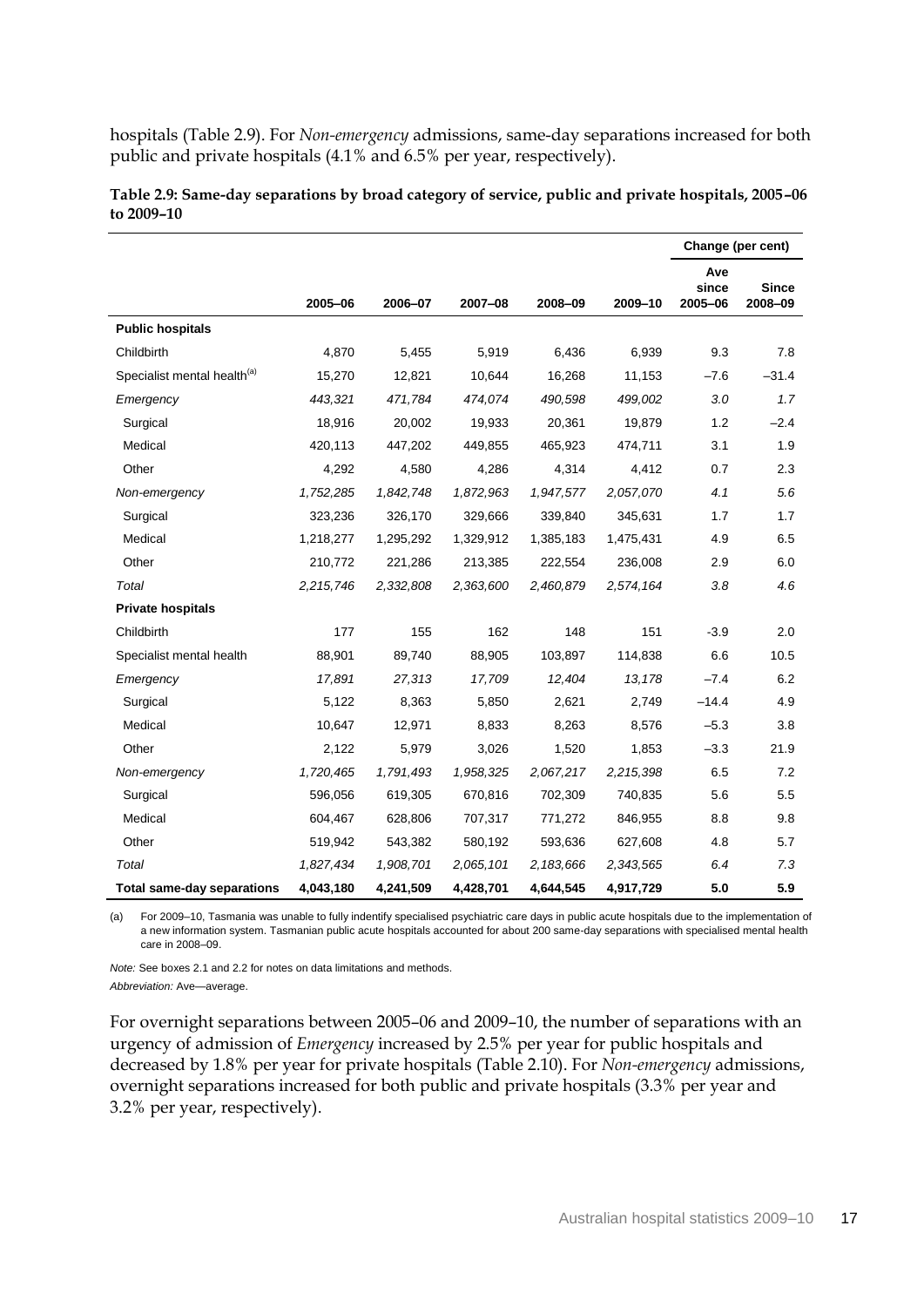hospitals (Table 2.9). For *Non-emergency* admissions, same-day separations increased for both public and private hospitals (4.1% and 6.5% per year, respectively).

|                                         |           |           |           |           |           | Change (per cent)       |                         |
|-----------------------------------------|-----------|-----------|-----------|-----------|-----------|-------------------------|-------------------------|
|                                         | 2005-06   | 2006-07   | 2007-08   | 2008-09   | 2009-10   | Ave<br>since<br>2005-06 | <b>Since</b><br>2008-09 |
| <b>Public hospitals</b>                 |           |           |           |           |           |                         |                         |
| Childbirth                              | 4,870     | 5,455     | 5,919     | 6,436     | 6,939     | 9.3                     | 7.8                     |
| Specialist mental health <sup>(a)</sup> | 15,270    | 12,821    | 10,644    | 16,268    | 11,153    | $-7.6$                  | $-31.4$                 |
| Emergency                               | 443,321   | 471,784   | 474,074   | 490,598   | 499,002   | 3.0                     | 1.7                     |
| Surgical                                | 18,916    | 20,002    | 19,933    | 20,361    | 19,879    | 1.2                     | $-2.4$                  |
| Medical                                 | 420,113   | 447,202   | 449,855   | 465,923   | 474,711   | 3.1                     | 1.9                     |
| Other                                   | 4,292     | 4,580     | 4,286     | 4,314     | 4,412     | 0.7                     | 2.3                     |
| Non-emergency                           | 1,752,285 | 1,842,748 | 1,872,963 | 1,947,577 | 2,057,070 | 4.1                     | 5.6                     |
| Surgical                                | 323,236   | 326,170   | 329,666   | 339,840   | 345,631   | 1.7                     | 1.7                     |
| Medical                                 | 1,218,277 | 1,295,292 | 1,329,912 | 1,385,183 | 1,475,431 | 4.9                     | 6.5                     |
| Other                                   | 210,772   | 221,286   | 213,385   | 222,554   | 236,008   | 2.9                     | 6.0                     |
| Total                                   | 2,215,746 | 2,332,808 | 2,363,600 | 2,460,879 | 2,574,164 | 3.8                     | 4.6                     |
| <b>Private hospitals</b>                |           |           |           |           |           |                         |                         |
| Childbirth                              | 177       | 155       | 162       | 148       | 151       | $-3.9$                  | 2.0                     |
| Specialist mental health                | 88,901    | 89,740    | 88,905    | 103,897   | 114,838   | 6.6                     | 10.5                    |
| Emergency                               | 17,891    | 27,313    | 17,709    | 12,404    | 13,178    | $-7.4$                  | 6.2                     |
| Surgical                                | 5,122     | 8,363     | 5,850     | 2,621     | 2,749     | $-14.4$                 | 4.9                     |
| Medical                                 | 10,647    | 12,971    | 8,833     | 8,263     | 8,576     | $-5.3$                  | 3.8                     |
| Other                                   | 2,122     | 5,979     | 3,026     | 1,520     | 1,853     | $-3.3$                  | 21.9                    |
| Non-emergency                           | 1,720,465 | 1,791,493 | 1,958,325 | 2,067,217 | 2,215,398 | 6.5                     | 7.2                     |
| Surgical                                | 596,056   | 619,305   | 670,816   | 702,309   | 740,835   | 5.6                     | 5.5                     |
| Medical                                 | 604,467   | 628,806   | 707,317   | 771,272   | 846,955   | 8.8                     | 9.8                     |
| Other                                   | 519,942   | 543,382   | 580,192   | 593,636   | 627,608   | 4.8                     | 5.7                     |
| Total                                   | 1,827,434 | 1,908,701 | 2,065,101 | 2,183,666 | 2,343,565 | 6.4                     | 7.3                     |
| <b>Total same-day separations</b>       | 4,043,180 | 4,241,509 | 4,428,701 | 4,644,545 | 4,917,729 | 5.0                     | 5.9                     |

**Table 2.9: Same-day separations by broad category of service, public and private hospitals, 2005–06 to 2009–10**

(a) For 2009–10, Tasmania was unable to fully indentify specialised psychiatric care days in public acute hospitals due to the implementation of a new information system. Tasmanian public acute hospitals accounted for about 200 same-day separations with specialised mental health care in 2008–09.

*Note:* See boxes 2.1 and 2.2 for notes on data limitations and methods.

*Abbreviation:* Ave—average.

For overnight separations between 2005–06 and 2009–10, the number of separations with an urgency of admission of *Emergency* increased by 2.5% per year for public hospitals and decreased by 1.8% per year for private hospitals (Table 2.10). For *Non-emergency* admissions, overnight separations increased for both public and private hospitals (3.3% per year and 3.2% per year, respectively).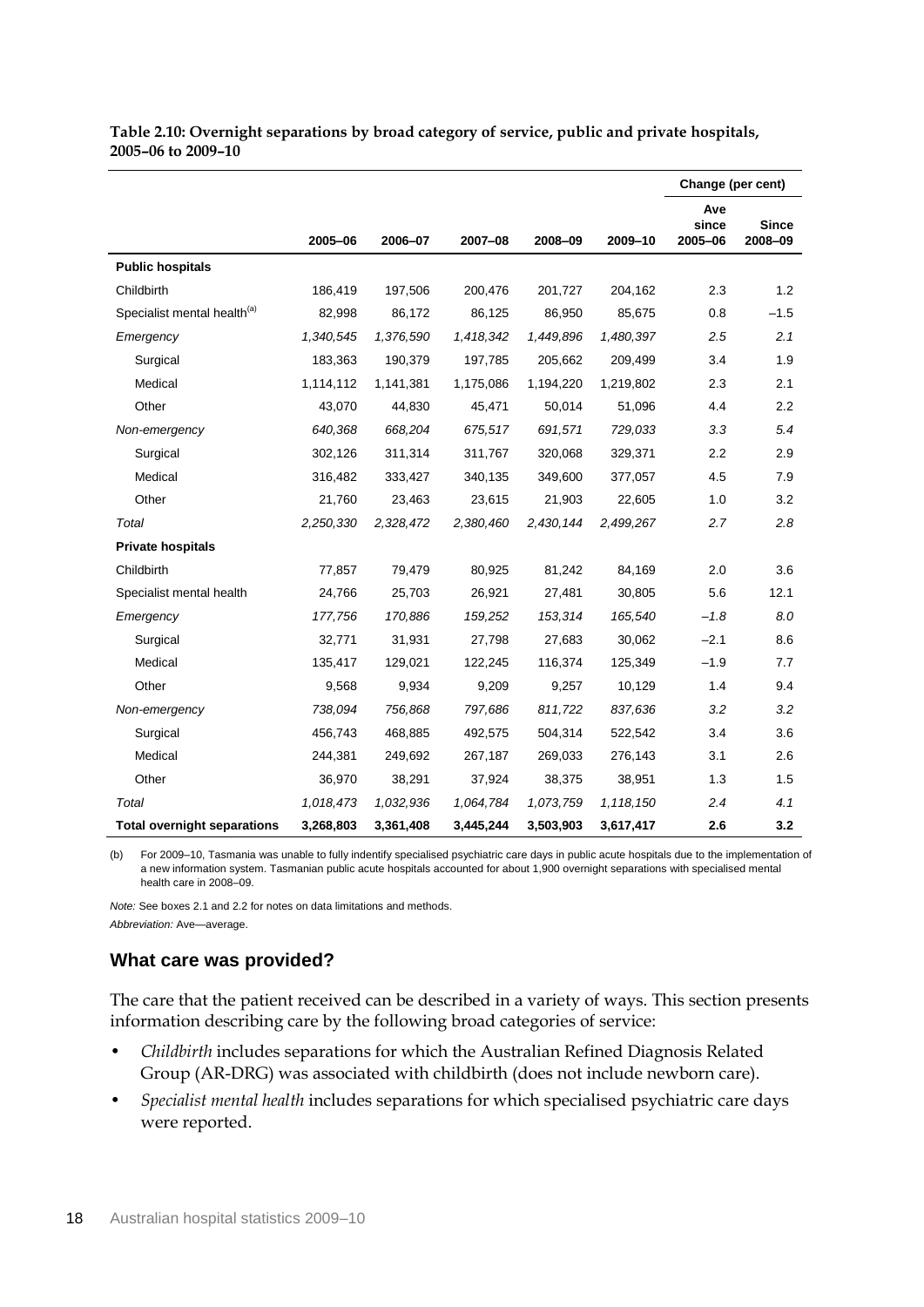| Table 2.10: Overnight separations by broad category of service, public and private hospitals, |  |  |
|-----------------------------------------------------------------------------------------------|--|--|
| 2005-06 to 2009-10                                                                            |  |  |

|                                         |           |           |           |           |           | Change (per cent)       |                         |
|-----------------------------------------|-----------|-----------|-----------|-----------|-----------|-------------------------|-------------------------|
|                                         | 2005-06   | 2006-07   | 2007-08   | 2008-09   | 2009-10   | Ave<br>since<br>2005-06 | <b>Since</b><br>2008-09 |
| <b>Public hospitals</b>                 |           |           |           |           |           |                         |                         |
| Childbirth                              | 186,419   | 197,506   | 200,476   | 201,727   | 204,162   | 2.3                     | 1.2                     |
| Specialist mental health <sup>(a)</sup> | 82,998    | 86,172    | 86,125    | 86,950    | 85,675    | 0.8                     | $-1.5$                  |
| Emergency                               | 1,340,545 | 1,376,590 | 1,418,342 | 1,449,896 | 1,480,397 | 2.5                     | 2.1                     |
| Surgical                                | 183,363   | 190,379   | 197,785   | 205,662   | 209,499   | 3.4                     | 1.9                     |
| Medical                                 | 1,114,112 | 1,141,381 | 1,175,086 | 1,194,220 | 1,219,802 | 2.3                     | 2.1                     |
| Other                                   | 43,070    | 44,830    | 45,471    | 50,014    | 51,096    | 4.4                     | 2.2                     |
| Non-emergency                           | 640,368   | 668,204   | 675,517   | 691,571   | 729,033   | 3.3                     | 5.4                     |
| Surgical                                | 302,126   | 311,314   | 311,767   | 320,068   | 329,371   | 2.2                     | 2.9                     |
| Medical                                 | 316,482   | 333,427   | 340,135   | 349,600   | 377,057   | 4.5                     | 7.9                     |
| Other                                   | 21,760    | 23,463    | 23,615    | 21,903    | 22,605    | 1.0                     | 3.2                     |
| Total                                   | 2,250,330 | 2,328,472 | 2,380,460 | 2,430,144 | 2,499,267 | 2.7                     | 2.8                     |
| <b>Private hospitals</b>                |           |           |           |           |           |                         |                         |
| Childbirth                              | 77,857    | 79,479    | 80,925    | 81,242    | 84,169    | 2.0                     | 3.6                     |
| Specialist mental health                | 24,766    | 25,703    | 26,921    | 27,481    | 30,805    | 5.6                     | 12.1                    |
| Emergency                               | 177,756   | 170,886   | 159,252   | 153,314   | 165,540   | $-1.8$                  | 8.0                     |
| Surgical                                | 32,771    | 31,931    | 27,798    | 27,683    | 30,062    | $-2.1$                  | 8.6                     |
| Medical                                 | 135,417   | 129,021   | 122,245   | 116,374   | 125,349   | $-1.9$                  | 7.7                     |
| Other                                   | 9,568     | 9,934     | 9,209     | 9,257     | 10,129    | 1.4                     | 9.4                     |
| Non-emergency                           | 738,094   | 756,868   | 797,686   | 811,722   | 837,636   | 3.2                     | 3.2                     |
| Surgical                                | 456,743   | 468,885   | 492,575   | 504,314   | 522,542   | 3.4                     | 3.6                     |
| Medical                                 | 244,381   | 249,692   | 267,187   | 269,033   | 276,143   | 3.1                     | 2.6                     |
| Other                                   | 36,970    | 38,291    | 37,924    | 38,375    | 38,951    | 1.3                     | 1.5                     |
| Total                                   | 1,018,473 | 1,032,936 | 1,064,784 | 1,073,759 | 1,118,150 | 2.4                     | 4.1                     |
| <b>Total overnight separations</b>      | 3,268,803 | 3,361,408 | 3,445,244 | 3,503,903 | 3,617,417 | 2.6                     | 3.2                     |

(b) For 2009–10, Tasmania was unable to fully indentify specialised psychiatric care days in public acute hospitals due to the implementation of a new information system. Tasmanian public acute hospitals accounted for about 1,900 overnight separations with specialised mental health care in 2008–09.

*Note:* See boxes 2.1 and 2.2 for notes on data limitations and methods. *Abbreviation:* Ave—average.

#### **What care was provided?**

The care that the patient received can be described in a variety of ways. This section presents information describing care by the following broad categories of service:

- *Childbirth* includes separations for which the Australian Refined Diagnosis Related Group (AR-DRG) was associated with childbirth (does not include newborn care).
- *Specialist mental health* includes separations for which specialised psychiatric care days were reported.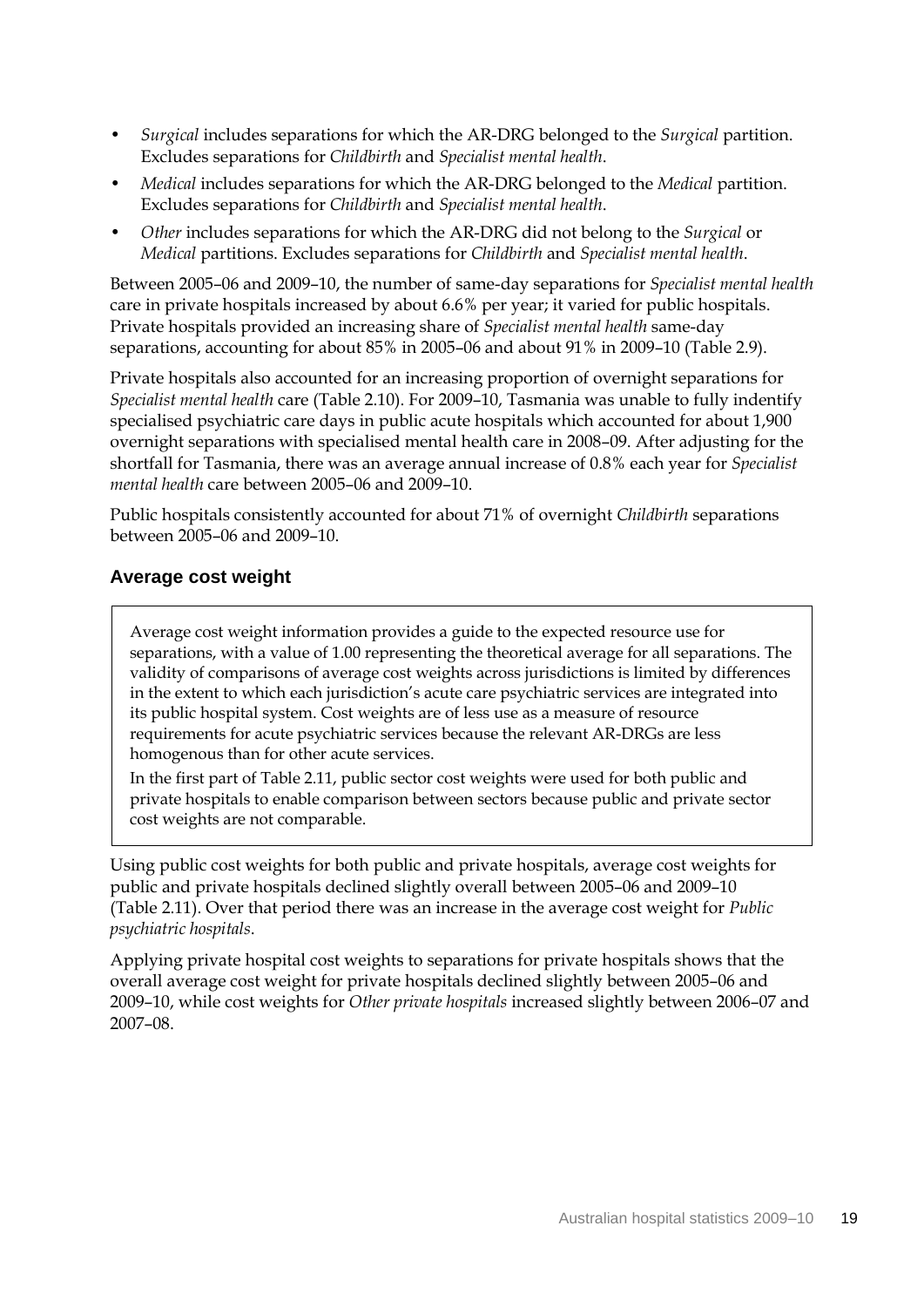- *Surgical* includes separations for which the AR-DRG belonged to the *Surgical* partition. Excludes separations for *Childbirth* and *Specialist mental health*.
- *Medical* includes separations for which the AR-DRG belonged to the *Medical* partition. Excludes separations for *Childbirth* and *Specialist mental health*.
- *Other* includes separations for which the AR-DRG did not belong to the *Surgical* or *Medical* partitions. Excludes separations for *Childbirth* and *Specialist mental health*.

Between 2005–06 and 2009–10, the number of same-day separations for *Specialist mental health* care in private hospitals increased by about 6.6% per year; it varied for public hospitals. Private hospitals provided an increasing share of *Specialist mental health* same-day separations, accounting for about 85% in 2005–06 and about 91% in 2009–10 (Table 2.9).

Private hospitals also accounted for an increasing proportion of overnight separations for *Specialist mental health* care (Table 2.10). For 2009–10, Tasmania was unable to fully indentify specialised psychiatric care days in public acute hospitals which accounted for about 1,900 overnight separations with specialised mental health care in 2008–09. After adjusting for the shortfall for Tasmania, there was an average annual increase of 0.8% each year for *Specialist mental health* care between 2005–06 and 2009–10.

Public hospitals consistently accounted for about 71% of overnight *Childbirth* separations between 2005–06 and 2009–10.

### **Average cost weight**

Average cost weight information provides a guide to the expected resource use for separations, with a value of 1.00 representing the theoretical average for all separations. The validity of comparisons of average cost weights across jurisdictions is limited by differences in the extent to which each jurisdiction's acute care psychiatric services are integrated into its public hospital system. Cost weights are of less use as a measure of resource requirements for acute psychiatric services because the relevant AR-DRGs are less homogenous than for other acute services.

In the first part of Table 2.11, public sector cost weights were used for both public and private hospitals to enable comparison between sectors because public and private sector cost weights are not comparable.

Using public cost weights for both public and private hospitals, average cost weights for public and private hospitals declined slightly overall between 2005–06 and 2009–10 (Table 2.11). Over that period there was an increase in the average cost weight for *Public psychiatric hospitals*.

Applying private hospital cost weights to separations for private hospitals shows that the overall average cost weight for private hospitals declined slightly between 2005–06 and 2009–10, while cost weights for *Other private hospitals* increased slightly between 2006–07 and 2007–08.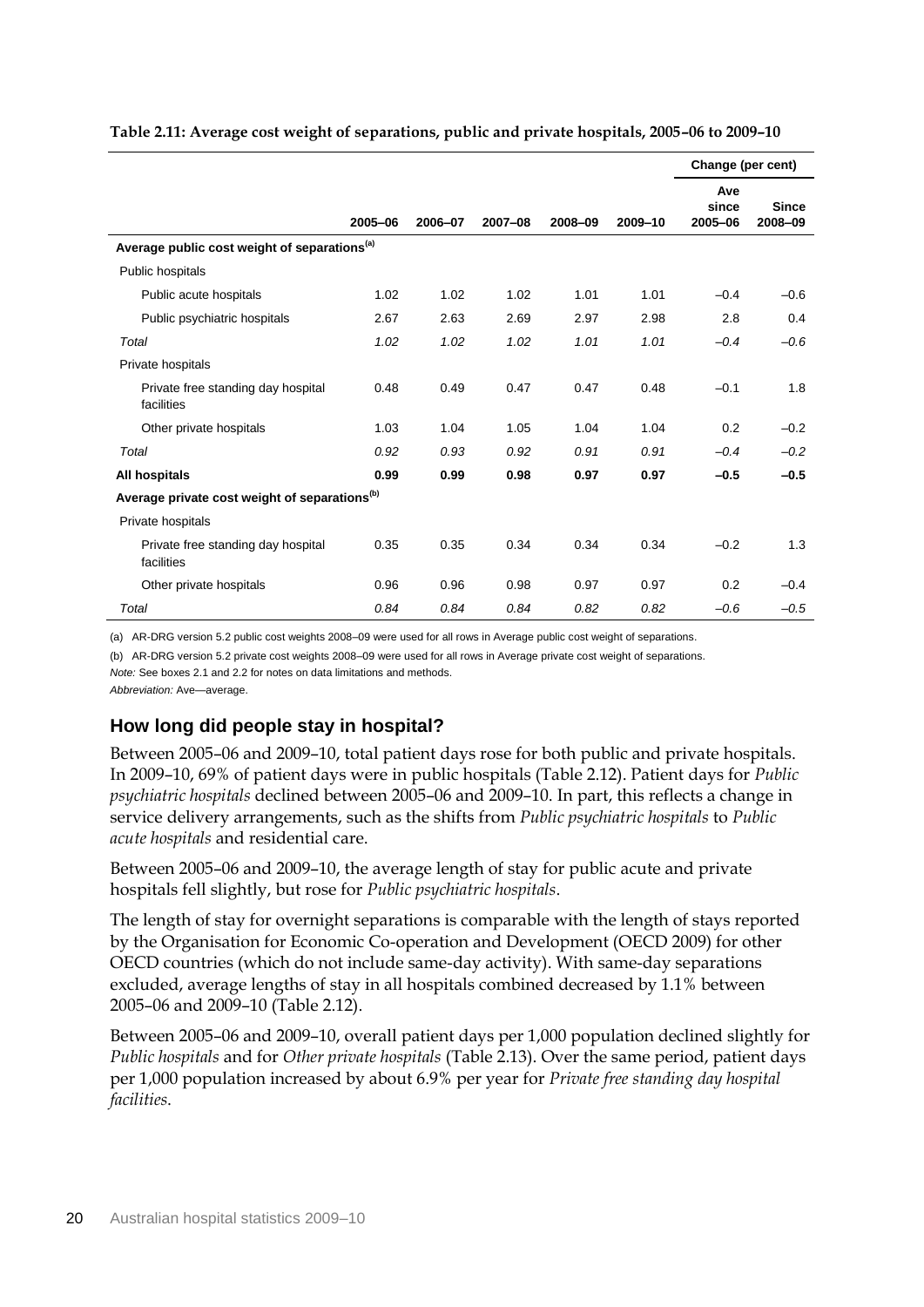|                                                           |         |         |         |         |         | Change (per cent)       |                         |  |
|-----------------------------------------------------------|---------|---------|---------|---------|---------|-------------------------|-------------------------|--|
|                                                           | 2005-06 | 2006-07 | 2007-08 | 2008-09 | 2009-10 | Ave<br>since<br>2005-06 | <b>Since</b><br>2008-09 |  |
| Average public cost weight of separations <sup>(a)</sup>  |         |         |         |         |         |                         |                         |  |
| Public hospitals                                          |         |         |         |         |         |                         |                         |  |
| Public acute hospitals                                    | 1.02    | 1.02    | 1.02    | 1.01    | 1.01    | $-0.4$                  | $-0.6$                  |  |
| Public psychiatric hospitals                              | 2.67    | 2.63    | 2.69    | 2.97    | 2.98    | 2.8                     | 0.4                     |  |
| Total                                                     | 1.02    | 1.02    | 1.02    | 1.01    | 1.01    | $-0.4$                  | $-0.6$                  |  |
| Private hospitals                                         |         |         |         |         |         |                         |                         |  |
| Private free standing day hospital<br>facilities          | 0.48    | 0.49    | 0.47    | 0.47    | 0.48    | $-0.1$                  | 1.8                     |  |
| Other private hospitals                                   | 1.03    | 1.04    | 1.05    | 1.04    | 1.04    | 0.2                     | $-0.2$                  |  |
| Total                                                     | 0.92    | 0.93    | 0.92    | 0.91    | 0.91    | $-0.4$                  | $-0.2$                  |  |
| All hospitals                                             | 0.99    | 0.99    | 0.98    | 0.97    | 0.97    | $-0.5$                  | $-0.5$                  |  |
| Average private cost weight of separations <sup>(b)</sup> |         |         |         |         |         |                         |                         |  |
| Private hospitals                                         |         |         |         |         |         |                         |                         |  |
| Private free standing day hospital<br>facilities          | 0.35    | 0.35    | 0.34    | 0.34    | 0.34    | $-0.2$                  | 1.3                     |  |
| Other private hospitals                                   | 0.96    | 0.96    | 0.98    | 0.97    | 0.97    | 0.2                     | $-0.4$                  |  |
| Total                                                     | 0.84    | 0.84    | 0.84    | 0.82    | 0.82    | $-0.6$                  | $-0.5$                  |  |

**Table 2.11: Average cost weight of separations, public and private hospitals, 2005–06 to 2009–10**

(a) AR-DRG version 5.2 public cost weights 2008–09 were used for all rows in Average public cost weight of separations.

(b) AR-DRG version 5.2 private cost weights 2008–09 were used for all rows in Average private cost weight of separations.

*Note:* See boxes 2.1 and 2.2 for notes on data limitations and methods.

*Abbreviation:* Ave—average.

### **How long did people stay in hospital?**

Between 2005–06 and 2009–10, total patient days rose for both public and private hospitals. In 2009–10, 69% of patient days were in public hospitals (Table 2.12). Patient days for *Public psychiatric hospitals* declined between 2005–06 and 2009–10. In part, this reflects a change in service delivery arrangements, such as the shifts from *Public psychiatric hospitals* to *Public acute hospitals* and residential care.

Between 2005–06 and 2009–10, the average length of stay for public acute and private hospitals fell slightly, but rose for *Public psychiatric hospitals*.

The length of stay for overnight separations is comparable with the length of stays reported by the Organisation for Economic Co-operation and Development (OECD 2009) for other OECD countries (which do not include same-day activity). With same-day separations excluded, average lengths of stay in all hospitals combined decreased by 1.1% between 2005–06 and 2009–10 (Table 2.12).

Between 2005–06 and 2009–10, overall patient days per 1,000 population declined slightly for *Public hospitals* and for *Other private hospitals* (Table 2.13). Over the same period, patient days per 1,000 population increased by about 6.9% per year for *Private free standing day hospital facilities*.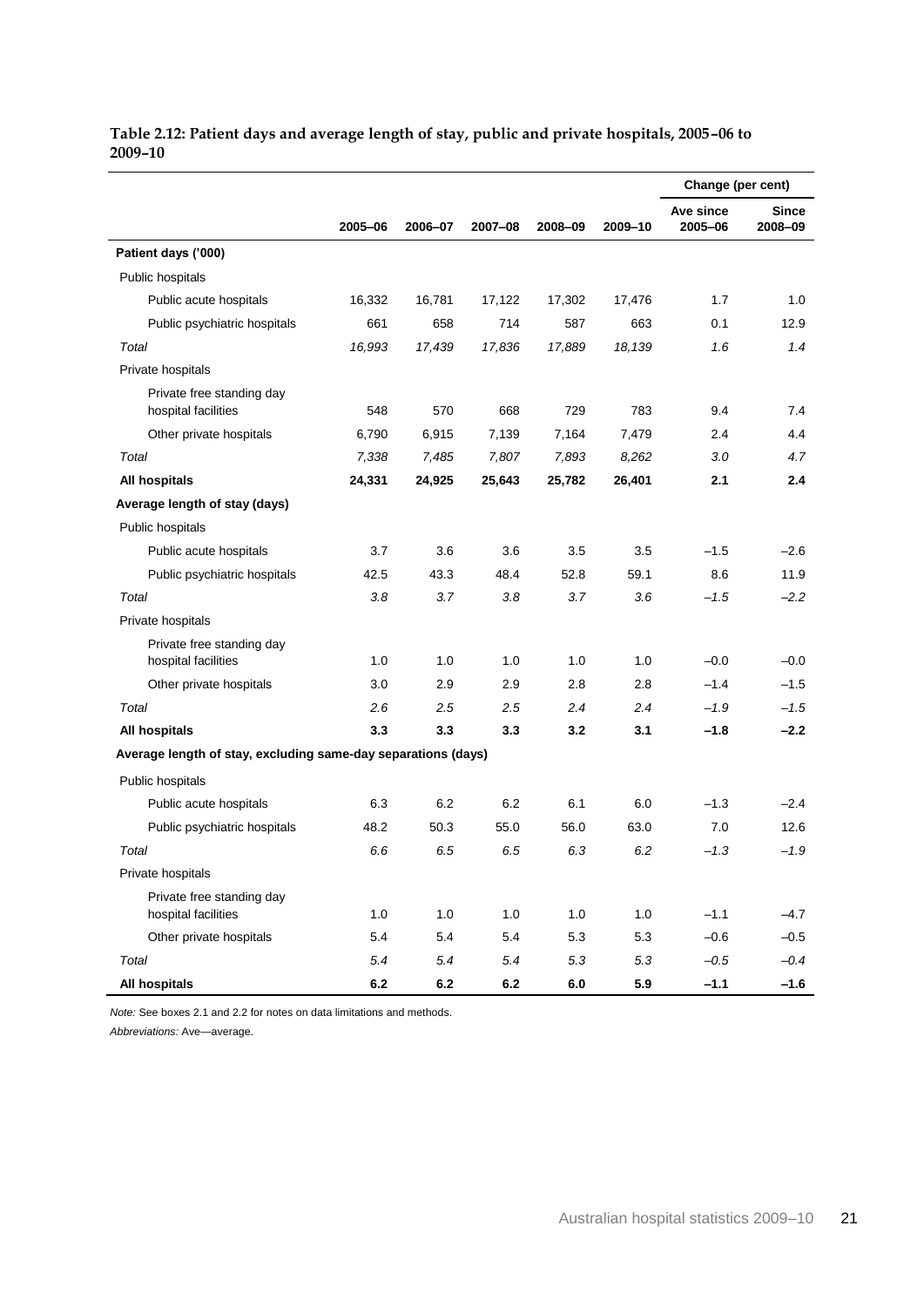|                                                               |         |         |         |         |         | Change (per cent)    |                         |
|---------------------------------------------------------------|---------|---------|---------|---------|---------|----------------------|-------------------------|
|                                                               | 2005-06 | 2006-07 | 2007-08 | 2008-09 | 2009-10 | Ave since<br>2005-06 | <b>Since</b><br>2008-09 |
| Patient days ('000)                                           |         |         |         |         |         |                      |                         |
| Public hospitals                                              |         |         |         |         |         |                      |                         |
| Public acute hospitals                                        | 16,332  | 16,781  | 17,122  | 17,302  | 17,476  | 1.7                  | 1.0                     |
| Public psychiatric hospitals                                  | 661     | 658     | 714     | 587     | 663     | 0.1                  | 12.9                    |
| Total                                                         | 16,993  | 17,439  | 17,836  | 17,889  | 18.139  | 1.6                  | 1.4                     |
| Private hospitals                                             |         |         |         |         |         |                      |                         |
| Private free standing day<br>hospital facilities              | 548     | 570     | 668     | 729     | 783     | 9.4                  | 7.4                     |
| Other private hospitals                                       | 6,790   | 6,915   | 7,139   | 7,164   | 7,479   | 2.4                  | 4.4                     |
| Total                                                         | 7,338   | 7,485   | 7,807   | 7,893   | 8,262   | 3.0                  | 4.7                     |
| All hospitals                                                 | 24,331  | 24,925  | 25,643  | 25,782  | 26,401  | 2.1                  | 2.4                     |
| Average length of stay (days)                                 |         |         |         |         |         |                      |                         |
| Public hospitals                                              |         |         |         |         |         |                      |                         |
| Public acute hospitals                                        | 3.7     | 3.6     | 3.6     | 3.5     | 3.5     | $-1.5$               | $-2.6$                  |
| Public psychiatric hospitals                                  | 42.5    | 43.3    | 48.4    | 52.8    | 59.1    | 8.6                  | 11.9                    |
| Total                                                         | 3.8     | 3.7     | 3.8     | 3.7     | 3.6     | $-1.5$               | $-2.2$                  |
| Private hospitals                                             |         |         |         |         |         |                      |                         |
| Private free standing day<br>hospital facilities              | 1.0     | 1.0     | 1.0     | 1.0     | 1.0     | $-0.0$               | $-0.0$                  |
| Other private hospitals                                       | 3.0     | 2.9     | 2.9     | 2.8     | 2.8     | $-1.4$               | $-1.5$                  |
| Total                                                         | 2.6     | 2.5     | 2.5     | 2.4     | 2.4     | $-1.9$               | $-1.5$                  |
| All hospitals                                                 | 3.3     | 3.3     | 3.3     | 3.2     | 3.1     | $-1.8$               | $-2.2$                  |
| Average length of stay, excluding same-day separations (days) |         |         |         |         |         |                      |                         |
| Public hospitals                                              |         |         |         |         |         |                      |                         |
| Public acute hospitals                                        | 6.3     | 6.2     | 6.2     | 6.1     | 6.0     | $-1.3$               | $-2.4$                  |
| Public psychiatric hospitals                                  | 48.2    | 50.3    | 55.0    | 56.0    | 63.0    | 7.0                  | 12.6                    |
| Total                                                         | 6.6     | 6.5     | 6.5     | 6.3     | 6.2     | $-1.3$               | $-1.9$                  |
| Private hospitals                                             |         |         |         |         |         |                      |                         |
| Private free standing day<br>hospital facilities              | 1.0     | 1.0     | 1.0     | 1.0     | 1.0     | $-1.1$               | $-4.7$                  |
| Other private hospitals                                       | 5.4     | 5.4     | 5.4     | 5.3     | 5.3     | $-0.6$               | $-0.5$                  |
| Total                                                         | 5.4     | 5.4     | 5.4     | 5.3     | 5.3     | $-0.5$               | $-0.4$                  |
| All hospitals                                                 | 6.2     | 6.2     | 6.2     | $6.0\,$ | 5.9     | $-1.1$               | $-1.6$                  |

**Table 2.12: Patient days and average length of stay, public and private hospitals, 2005–06 to 2009–10**

*Note:* See boxes 2.1 and 2.2 for notes on data limitations and methods.

*Abbreviations:* Ave—average.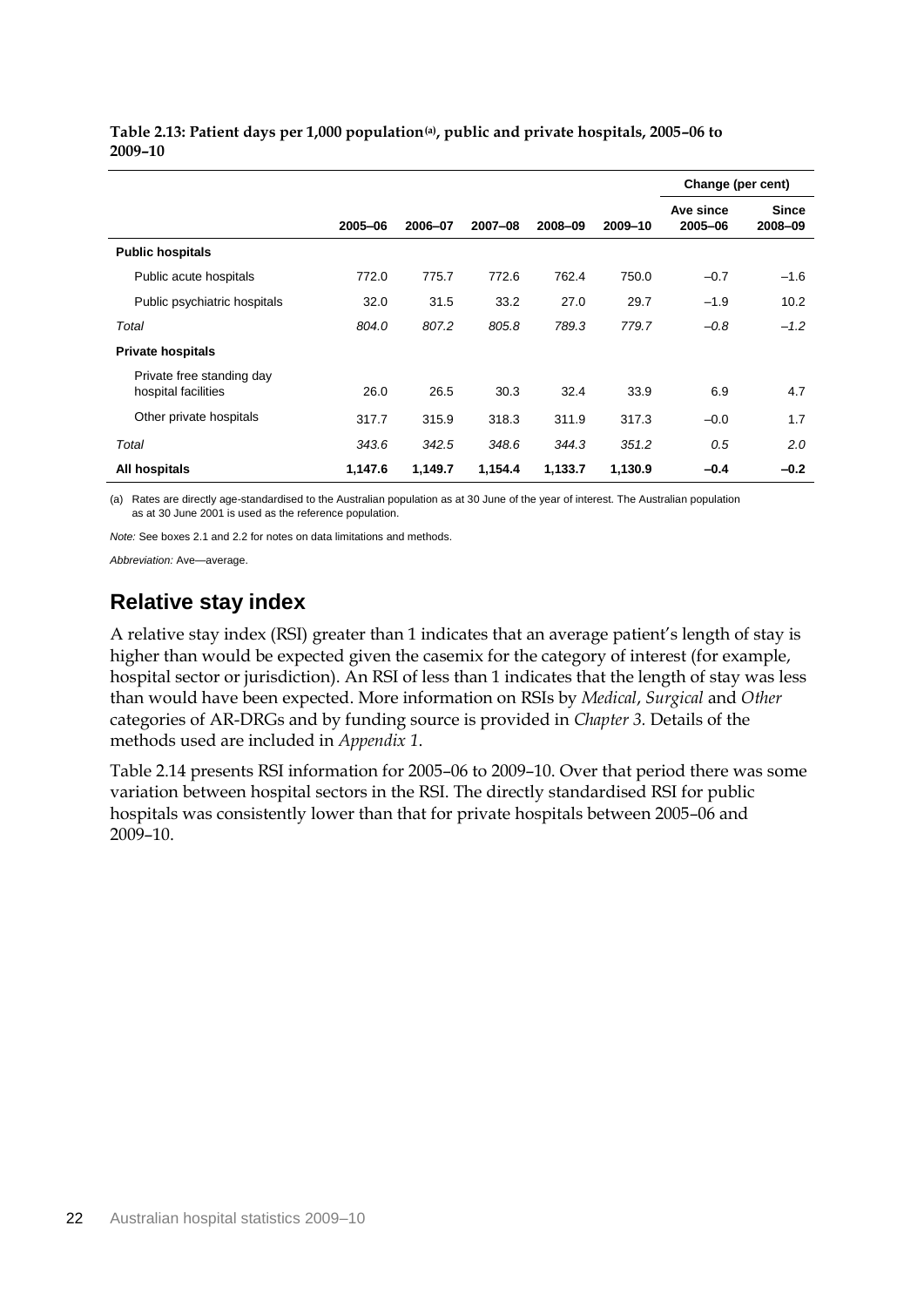|                                                  |         |         |         |         |         | Change (per cent)    |                         |
|--------------------------------------------------|---------|---------|---------|---------|---------|----------------------|-------------------------|
|                                                  | 2005-06 | 2006-07 | 2007-08 | 2008-09 | 2009-10 | Ave since<br>2005-06 | <b>Since</b><br>2008-09 |
| <b>Public hospitals</b>                          |         |         |         |         |         |                      |                         |
| Public acute hospitals                           | 772.0   | 775.7   | 772.6   | 762.4   | 750.0   | $-0.7$               | $-1.6$                  |
| Public psychiatric hospitals                     | 32.0    | 31.5    | 33.2    | 27.0    | 29.7    | $-1.9$               | 10.2                    |
| Total                                            | 804.0   | 807.2   | 805.8   | 789.3   | 779.7   | $-0.8$               | $-1.2$                  |
| <b>Private hospitals</b>                         |         |         |         |         |         |                      |                         |
| Private free standing day<br>hospital facilities | 26.0    | 26.5    | 30.3    | 32.4    | 33.9    | 6.9                  | 4.7                     |
| Other private hospitals                          | 317.7   | 315.9   | 318.3   | 311.9   | 317.3   | $-0.0$               | 1.7                     |
| Total                                            | 343.6   | 342.5   | 348.6   | 344.3   | 351.2   | 0.5                  | 2.0                     |
| All hospitals                                    | 1,147.6 | 1,149.7 | 1,154.4 | 1,133.7 | 1,130.9 | $-0.4$               | $-0.2$                  |

**Table 2.13: Patient days per 1,000 population(a), public and private hospitals, 2005–06 to 2009–10**

(a) Rates are directly age-standardised to the Australian population as at 30 June of the year of interest. The Australian population as at 30 June 2001 is used as the reference population.

*Note:* See boxes 2.1 and 2.2 for notes on data limitations and methods.

*Abbreviation:* Ave—average.

### **Relative stay index**

A relative stay index (RSI) greater than 1 indicates that an average patient's length of stay is higher than would be expected given the casemix for the category of interest (for example, hospital sector or jurisdiction). An RSI of less than 1 indicates that the length of stay was less than would have been expected. More information on RSIs by *Medical*, *Surgical* and *Other* categories of AR-DRGs and by funding source is provided in *Chapter 3.* Details of the methods used are included in *Appendix 1*.

Table 2.14 presents RSI information for 2005–06 to 2009–10. Over that period there was some variation between hospital sectors in the RSI. The directly standardised RSI for public hospitals was consistently lower than that for private hospitals between 2005–06 and 2009–10.